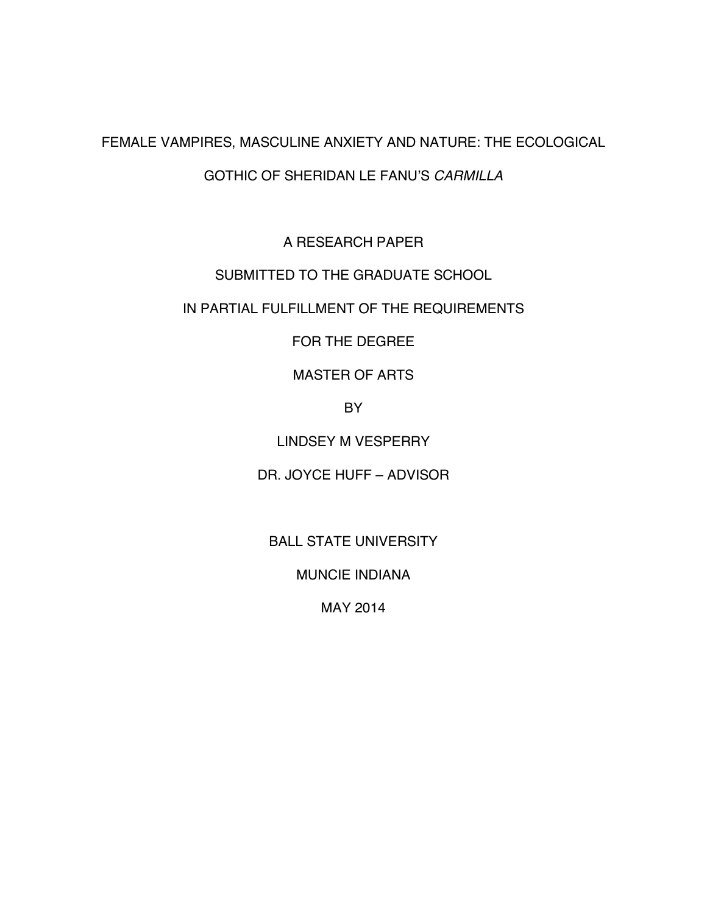#### FEMALE VAMPIRES, MASCULINE ANXIETY AND NATURE: THE ECOLOGICAL

#### GOTHIC OF SHERIDAN LE FANU'S *CARMILLA*

A RESEARCH PAPER

#### SUBMITTED TO THE GRADUATE SCHOOL

#### IN PARTIAL FULFILLMENT OF THE REQUIREMENTS

# FOR THE DEGREE

# MASTER OF ARTS

# **BY**

# LINDSEY M VESPERRY

# DR. JOYCE HUFF – ADVISOR

# BALL STATE UNIVERSITY

#### MUNCIE INDIANA

# MAY 2014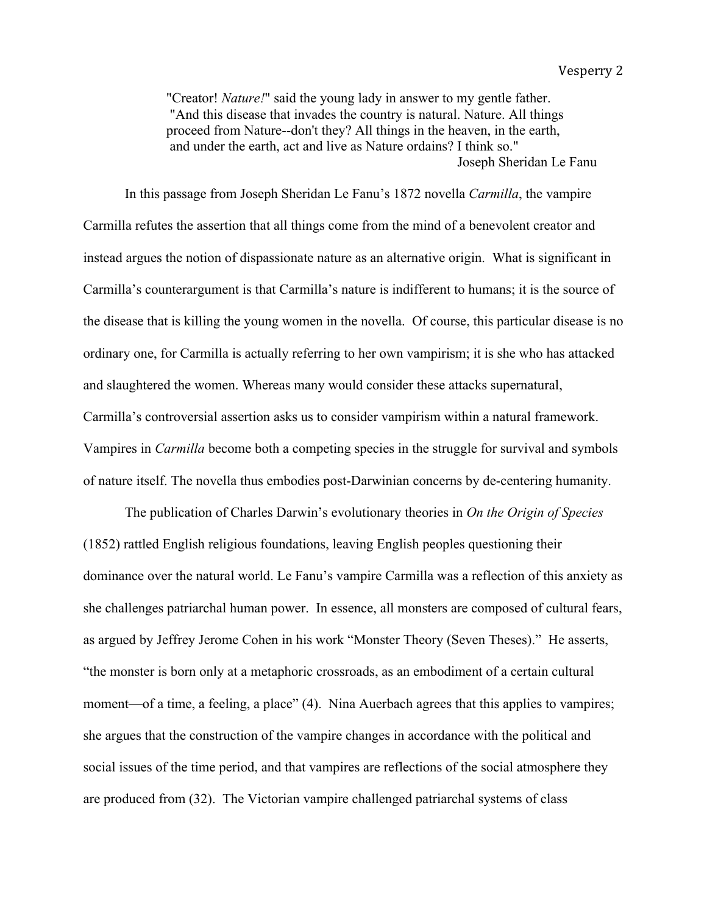"Creator! *Nature!*" said the young lady in answer to my gentle father. "And this disease that invades the country is natural. Nature. All things proceed from Nature--don't they? All things in the heaven, in the earth, and under the earth, act and live as Nature ordains? I think so." Joseph Sheridan Le Fanu

In this passage from Joseph Sheridan Le Fanu's 1872 novella *Carmilla*, the vampire Carmilla refutes the assertion that all things come from the mind of a benevolent creator and instead argues the notion of dispassionate nature as an alternative origin. What is significant in Carmilla's counterargument is that Carmilla's nature is indifferent to humans; it is the source of the disease that is killing the young women in the novella. Of course, this particular disease is no ordinary one, for Carmilla is actually referring to her own vampirism; it is she who has attacked and slaughtered the women. Whereas many would consider these attacks supernatural, Carmilla's controversial assertion asks us to consider vampirism within a natural framework. Vampires in *Carmilla* become both a competing species in the struggle for survival and symbols of nature itself. The novella thus embodies post-Darwinian concerns by de-centering humanity.

The publication of Charles Darwin's evolutionary theories in *On the Origin of Species* (1852) rattled English religious foundations, leaving English peoples questioning their dominance over the natural world. Le Fanu's vampire Carmilla was a reflection of this anxiety as she challenges patriarchal human power. In essence, all monsters are composed of cultural fears, as argued by Jeffrey Jerome Cohen in his work "Monster Theory (Seven Theses)." He asserts, "the monster is born only at a metaphoric crossroads, as an embodiment of a certain cultural moment—of a time, a feeling, a place" (4). Nina Auerbach agrees that this applies to vampires; she argues that the construction of the vampire changes in accordance with the political and social issues of the time period, and that vampires are reflections of the social atmosphere they are produced from (32). The Victorian vampire challenged patriarchal systems of class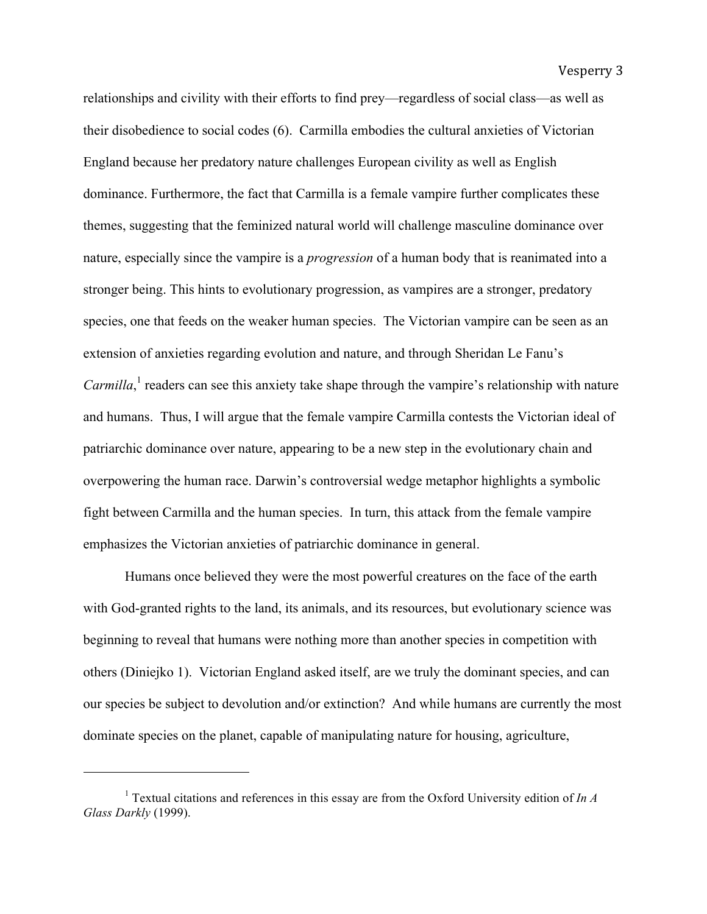relationships and civility with their efforts to find prey—regardless of social class—as well as their disobedience to social codes (6). Carmilla embodies the cultural anxieties of Victorian England because her predatory nature challenges European civility as well as English dominance. Furthermore, the fact that Carmilla is a female vampire further complicates these themes, suggesting that the feminized natural world will challenge masculine dominance over nature, especially since the vampire is a *progression* of a human body that is reanimated into a stronger being. This hints to evolutionary progression, as vampires are a stronger, predatory species, one that feeds on the weaker human species. The Victorian vampire can be seen as an extension of anxieties regarding evolution and nature, and through Sheridan Le Fanu's Carmilla,<sup>1</sup> readers can see this anxiety take shape through the vampire's relationship with nature and humans. Thus, I will argue that the female vampire Carmilla contests the Victorian ideal of patriarchic dominance over nature, appearing to be a new step in the evolutionary chain and overpowering the human race. Darwin's controversial wedge metaphor highlights a symbolic fight between Carmilla and the human species. In turn, this attack from the female vampire emphasizes the Victorian anxieties of patriarchic dominance in general.

Humans once believed they were the most powerful creatures on the face of the earth with God-granted rights to the land, its animals, and its resources, but evolutionary science was beginning to reveal that humans were nothing more than another species in competition with others (Diniejko 1). Victorian England asked itself, are we truly the dominant species, and can our species be subject to devolution and/or extinction? And while humans are currently the most dominate species on the planet, capable of manipulating nature for housing, agriculture,

<sup>1</sup> Textual citations and references in this essay are from the Oxford University edition of *In A Glass Darkly* (1999).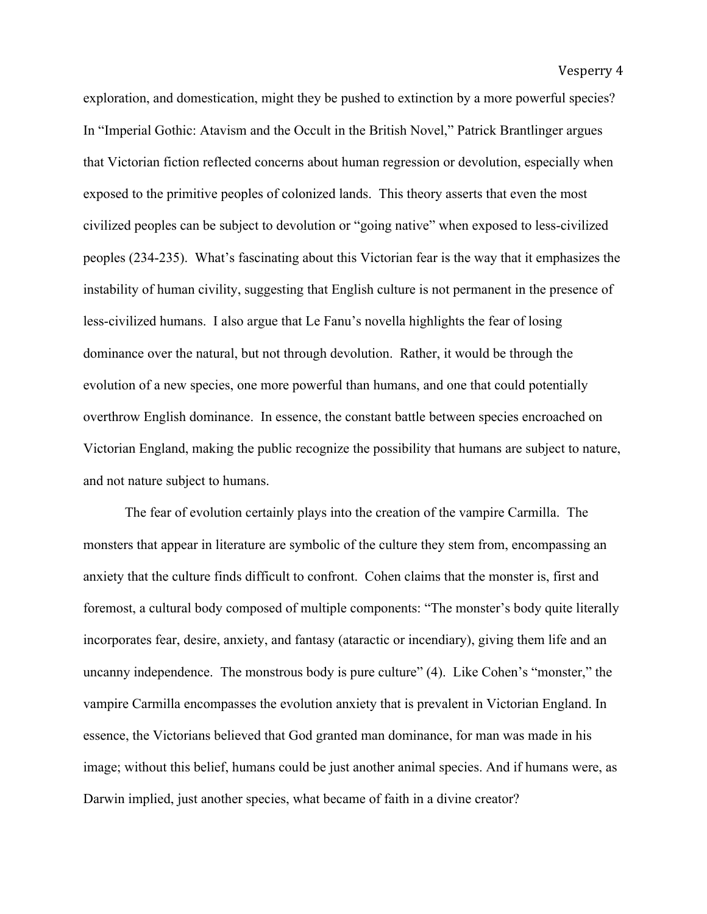exploration, and domestication, might they be pushed to extinction by a more powerful species? In "Imperial Gothic: Atavism and the Occult in the British Novel," Patrick Brantlinger argues that Victorian fiction reflected concerns about human regression or devolution, especially when exposed to the primitive peoples of colonized lands. This theory asserts that even the most civilized peoples can be subject to devolution or "going native" when exposed to less-civilized peoples (234-235). What's fascinating about this Victorian fear is the way that it emphasizes the instability of human civility, suggesting that English culture is not permanent in the presence of less-civilized humans. I also argue that Le Fanu's novella highlights the fear of losing dominance over the natural, but not through devolution. Rather, it would be through the evolution of a new species, one more powerful than humans, and one that could potentially overthrow English dominance. In essence, the constant battle between species encroached on Victorian England, making the public recognize the possibility that humans are subject to nature, and not nature subject to humans.

The fear of evolution certainly plays into the creation of the vampire Carmilla. The monsters that appear in literature are symbolic of the culture they stem from, encompassing an anxiety that the culture finds difficult to confront. Cohen claims that the monster is, first and foremost, a cultural body composed of multiple components: "The monster's body quite literally incorporates fear, desire, anxiety, and fantasy (ataractic or incendiary), giving them life and an uncanny independence. The monstrous body is pure culture" (4). Like Cohen's "monster," the vampire Carmilla encompasses the evolution anxiety that is prevalent in Victorian England. In essence, the Victorians believed that God granted man dominance, for man was made in his image; without this belief, humans could be just another animal species. And if humans were, as Darwin implied, just another species, what became of faith in a divine creator?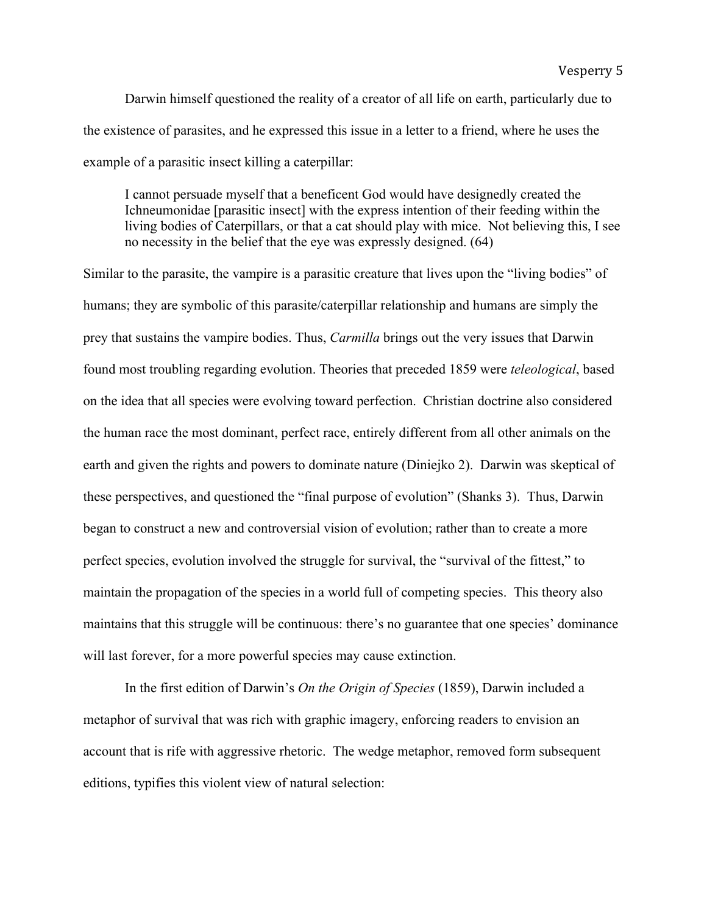Darwin himself questioned the reality of a creator of all life on earth, particularly due to the existence of parasites, and he expressed this issue in a letter to a friend, where he uses the example of a parasitic insect killing a caterpillar:

I cannot persuade myself that a beneficent God would have designedly created the Ichneumonidae [parasitic insect] with the express intention of their feeding within the living bodies of Caterpillars, or that a cat should play with mice. Not believing this, I see no necessity in the belief that the eye was expressly designed. (64)

Similar to the parasite, the vampire is a parasitic creature that lives upon the "living bodies" of humans; they are symbolic of this parasite/caterpillar relationship and humans are simply the prey that sustains the vampire bodies. Thus, *Carmilla* brings out the very issues that Darwin found most troubling regarding evolution. Theories that preceded 1859 were *teleological*, based on the idea that all species were evolving toward perfection. Christian doctrine also considered the human race the most dominant, perfect race, entirely different from all other animals on the earth and given the rights and powers to dominate nature (Diniejko 2). Darwin was skeptical of these perspectives, and questioned the "final purpose of evolution" (Shanks 3). Thus, Darwin began to construct a new and controversial vision of evolution; rather than to create a more perfect species, evolution involved the struggle for survival, the "survival of the fittest," to maintain the propagation of the species in a world full of competing species. This theory also maintains that this struggle will be continuous: there's no guarantee that one species' dominance will last forever, for a more powerful species may cause extinction.

In the first edition of Darwin's *On the Origin of Species* (1859), Darwin included a metaphor of survival that was rich with graphic imagery, enforcing readers to envision an account that is rife with aggressive rhetoric. The wedge metaphor, removed form subsequent editions, typifies this violent view of natural selection: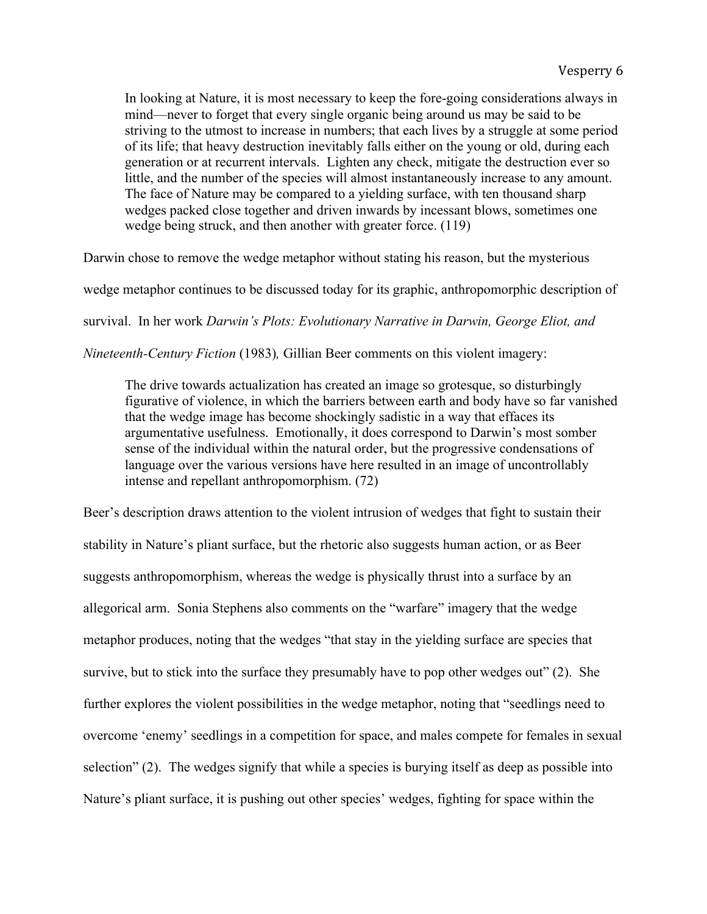In looking at Nature, it is most necessary to keep the fore-going considerations always in mind—never to forget that every single organic being around us may be said to be striving to the utmost to increase in numbers; that each lives by a struggle at some period of its life; that heavy destruction inevitably falls either on the young or old, during each generation or at recurrent intervals. Lighten any check, mitigate the destruction ever so little, and the number of the species will almost instantaneously increase to any amount. The face of Nature may be compared to a yielding surface, with ten thousand sharp wedges packed close together and driven inwards by incessant blows, sometimes one wedge being struck, and then another with greater force. (119)

Darwin chose to remove the wedge metaphor without stating his reason, but the mysterious

wedge metaphor continues to be discussed today for its graphic, anthropomorphic description of

survival. In her work *Darwin's Plots: Evolutionary Narrative in Darwin, George Eliot, and* 

*Nineteenth-Century Fiction* (1983)*,* Gillian Beer comments on this violent imagery:

The drive towards actualization has created an image so grotesque, so disturbingly figurative of violence, in which the barriers between earth and body have so far vanished that the wedge image has become shockingly sadistic in a way that effaces its argumentative usefulness. Emotionally, it does correspond to Darwin's most somber sense of the individual within the natural order, but the progressive condensations of language over the various versions have here resulted in an image of uncontrollably intense and repellant anthropomorphism. (72)

Beer's description draws attention to the violent intrusion of wedges that fight to sustain their stability in Nature's pliant surface, but the rhetoric also suggests human action, or as Beer suggests anthropomorphism, whereas the wedge is physically thrust into a surface by an allegorical arm. Sonia Stephens also comments on the "warfare" imagery that the wedge metaphor produces, noting that the wedges "that stay in the yielding surface are species that survive, but to stick into the surface they presumably have to pop other wedges out" (2). She further explores the violent possibilities in the wedge metaphor, noting that "seedlings need to overcome 'enemy' seedlings in a competition for space, and males compete for females in sexual selection" (2). The wedges signify that while a species is burying itself as deep as possible into Nature's pliant surface, it is pushing out other species' wedges, fighting for space within the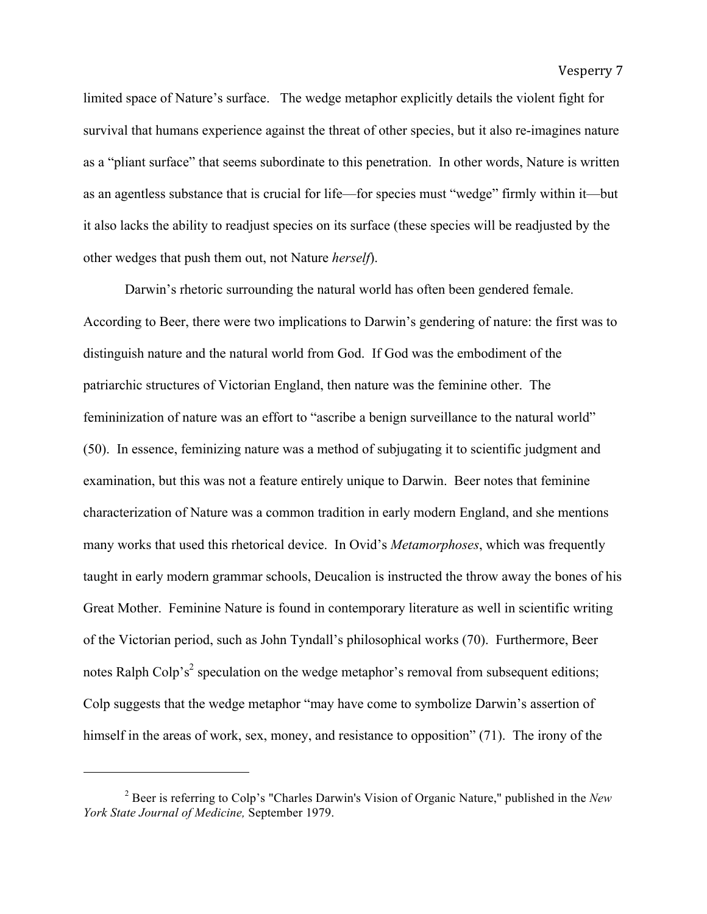limited space of Nature's surface. The wedge metaphor explicitly details the violent fight for survival that humans experience against the threat of other species, but it also re-imagines nature as a "pliant surface" that seems subordinate to this penetration. In other words, Nature is written as an agentless substance that is crucial for life—for species must "wedge" firmly within it—but it also lacks the ability to readjust species on its surface (these species will be readjusted by the other wedges that push them out, not Nature *herself*).

Darwin's rhetoric surrounding the natural world has often been gendered female. According to Beer, there were two implications to Darwin's gendering of nature: the first was to distinguish nature and the natural world from God. If God was the embodiment of the patriarchic structures of Victorian England, then nature was the feminine other. The femininization of nature was an effort to "ascribe a benign surveillance to the natural world" (50). In essence, feminizing nature was a method of subjugating it to scientific judgment and examination, but this was not a feature entirely unique to Darwin. Beer notes that feminine characterization of Nature was a common tradition in early modern England, and she mentions many works that used this rhetorical device. In Ovid's *Metamorphoses*, which was frequently taught in early modern grammar schools, Deucalion is instructed the throw away the bones of his Great Mother. Feminine Nature is found in contemporary literature as well in scientific writing of the Victorian period, such as John Tyndall's philosophical works (70). Furthermore, Beer notes Ralph Colp's<sup>2</sup> speculation on the wedge metaphor's removal from subsequent editions; Colp suggests that the wedge metaphor "may have come to symbolize Darwin's assertion of himself in the areas of work, sex, money, and resistance to opposition" (71). The irony of the

<sup>2</sup> Beer is referring to Colp's "Charles Darwin's Vision of Organic Nature," published in the *New York State Journal of Medicine,* September 1979.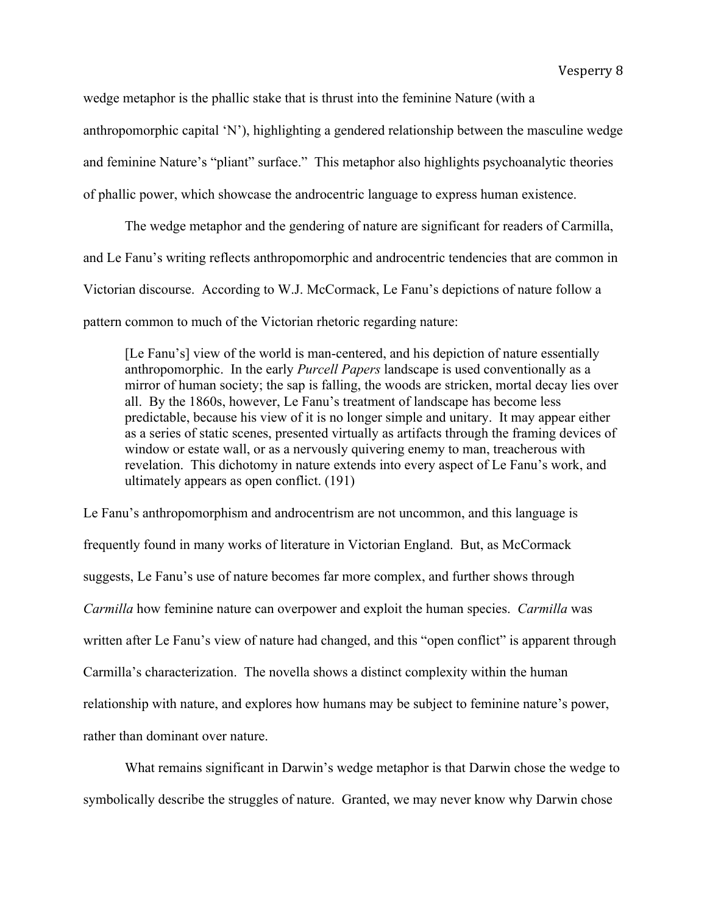wedge metaphor is the phallic stake that is thrust into the feminine Nature (with a

anthropomorphic capital 'N'), highlighting a gendered relationship between the masculine wedge

and feminine Nature's "pliant" surface." This metaphor also highlights psychoanalytic theories

of phallic power, which showcase the androcentric language to express human existence.

The wedge metaphor and the gendering of nature are significant for readers of Carmilla, and Le Fanu's writing reflects anthropomorphic and androcentric tendencies that are common in Victorian discourse. According to W.J. McCormack, Le Fanu's depictions of nature follow a pattern common to much of the Victorian rhetoric regarding nature:

[Le Fanu's] view of the world is man-centered, and his depiction of nature essentially anthropomorphic. In the early *Purcell Papers* landscape is used conventionally as a mirror of human society; the sap is falling, the woods are stricken, mortal decay lies over all. By the 1860s, however, Le Fanu's treatment of landscape has become less predictable, because his view of it is no longer simple and unitary. It may appear either as a series of static scenes, presented virtually as artifacts through the framing devices of window or estate wall, or as a nervously quivering enemy to man, treacherous with revelation. This dichotomy in nature extends into every aspect of Le Fanu's work, and ultimately appears as open conflict. (191)

Le Fanu's anthropomorphism and androcentrism are not uncommon, and this language is frequently found in many works of literature in Victorian England. But, as McCormack suggests, Le Fanu's use of nature becomes far more complex, and further shows through *Carmilla* how feminine nature can overpower and exploit the human species. *Carmilla* was written after Le Fanu's view of nature had changed, and this "open conflict" is apparent through Carmilla's characterization. The novella shows a distinct complexity within the human relationship with nature, and explores how humans may be subject to feminine nature's power, rather than dominant over nature.

What remains significant in Darwin's wedge metaphor is that Darwin chose the wedge to symbolically describe the struggles of nature. Granted, we may never know why Darwin chose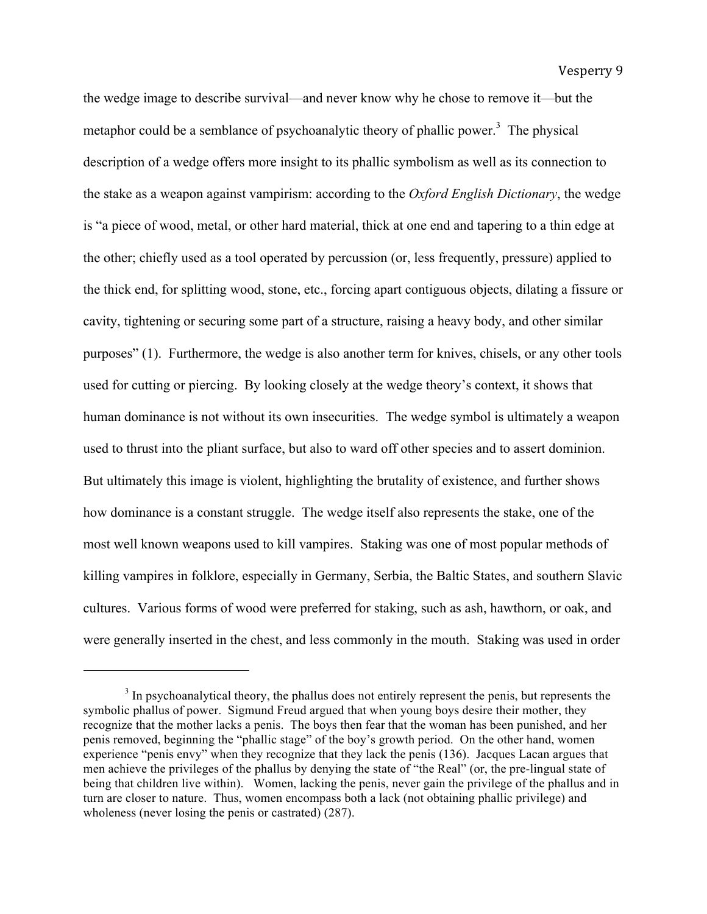the wedge image to describe survival—and never know why he chose to remove it—but the metaphor could be a semblance of psychoanalytic theory of phallic power.<sup>3</sup> The physical description of a wedge offers more insight to its phallic symbolism as well as its connection to the stake as a weapon against vampirism: according to the *Oxford English Dictionary*, the wedge is "a piece of wood, metal, or other hard material, thick at one end and tapering to a thin edge at the other; chiefly used as a tool operated by percussion (or, less frequently, pressure) applied to the thick end, for splitting wood, stone, etc., forcing apart contiguous objects, dilating a fissure or cavity, tightening or securing some part of a structure, raising a heavy body, and other similar purposes" (1). Furthermore, the wedge is also another term for knives, chisels, or any other tools used for cutting or piercing. By looking closely at the wedge theory's context, it shows that human dominance is not without its own insecurities. The wedge symbol is ultimately a weapon used to thrust into the pliant surface, but also to ward off other species and to assert dominion. But ultimately this image is violent, highlighting the brutality of existence, and further shows how dominance is a constant struggle. The wedge itself also represents the stake, one of the most well known weapons used to kill vampires. Staking was one of most popular methods of killing vampires in folklore, especially in Germany, Serbia, the Baltic States, and southern Slavic cultures. Various forms of wood were preferred for staking, such as ash, hawthorn, or oak, and were generally inserted in the chest, and less commonly in the mouth. Staking was used in order

 $3$  In psychoanalytical theory, the phallus does not entirely represent the penis, but represents the symbolic phallus of power. Sigmund Freud argued that when young boys desire their mother, they recognize that the mother lacks a penis. The boys then fear that the woman has been punished, and her penis removed, beginning the "phallic stage" of the boy's growth period. On the other hand, women experience "penis envy" when they recognize that they lack the penis (136). Jacques Lacan argues that men achieve the privileges of the phallus by denying the state of "the Real" (or, the pre-lingual state of being that children live within). Women, lacking the penis, never gain the privilege of the phallus and in turn are closer to nature. Thus, women encompass both a lack (not obtaining phallic privilege) and wholeness (never losing the penis or castrated) (287).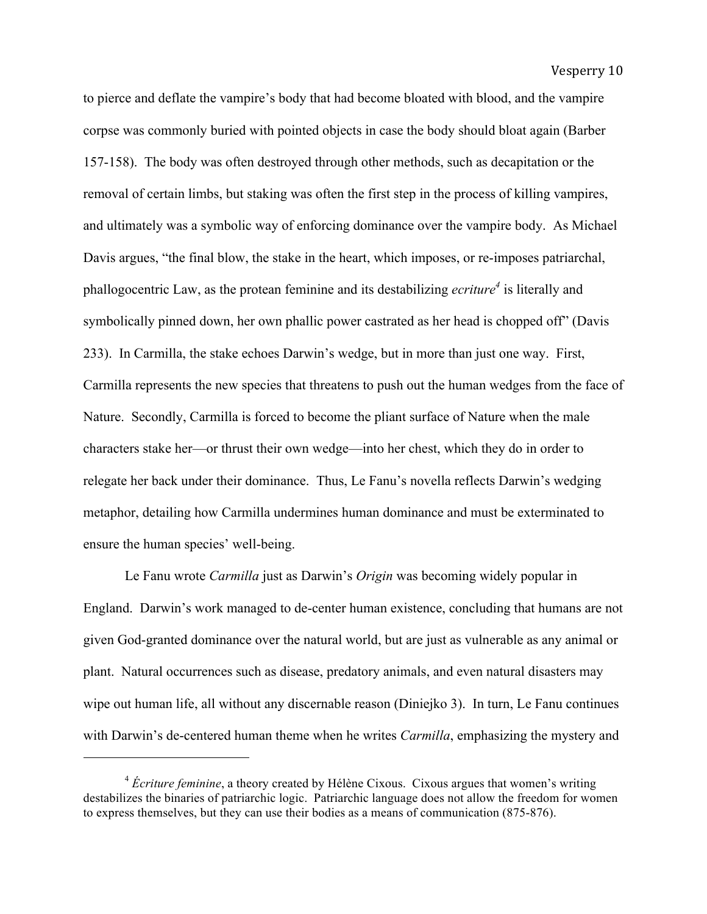to pierce and deflate the vampire's body that had become bloated with blood, and the vampire corpse was commonly buried with pointed objects in case the body should bloat again (Barber 157-158). The body was often destroyed through other methods, such as decapitation or the removal of certain limbs, but staking was often the first step in the process of killing vampires, and ultimately was a symbolic way of enforcing dominance over the vampire body. As Michael Davis argues, "the final blow, the stake in the heart, which imposes, or re-imposes patriarchal, phallogocentric Law, as the protean feminine and its destabilizing *ecriture*<sup>4</sup> is literally and symbolically pinned down, her own phallic power castrated as her head is chopped off" (Davis 233). In Carmilla, the stake echoes Darwin's wedge, but in more than just one way. First, Carmilla represents the new species that threatens to push out the human wedges from the face of Nature. Secondly, Carmilla is forced to become the pliant surface of Nature when the male characters stake her—or thrust their own wedge—into her chest, which they do in order to relegate her back under their dominance. Thus, Le Fanu's novella reflects Darwin's wedging metaphor, detailing how Carmilla undermines human dominance and must be exterminated to ensure the human species' well-being.

Le Fanu wrote *Carmilla* just as Darwin's *Origin* was becoming widely popular in England. Darwin's work managed to de-center human existence, concluding that humans are not given God-granted dominance over the natural world, but are just as vulnerable as any animal or plant. Natural occurrences such as disease, predatory animals, and even natural disasters may wipe out human life, all without any discernable reason (Diniejko 3). In turn, Le Fanu continues with Darwin's de-centered human theme when he writes *Carmilla*, emphasizing the mystery and

<sup>4</sup> *Écriture feminine*, a theory created by Hélène Cixous. Cixous argues that women's writing destabilizes the binaries of patriarchic logic. Patriarchic language does not allow the freedom for women to express themselves, but they can use their bodies as a means of communication (875-876).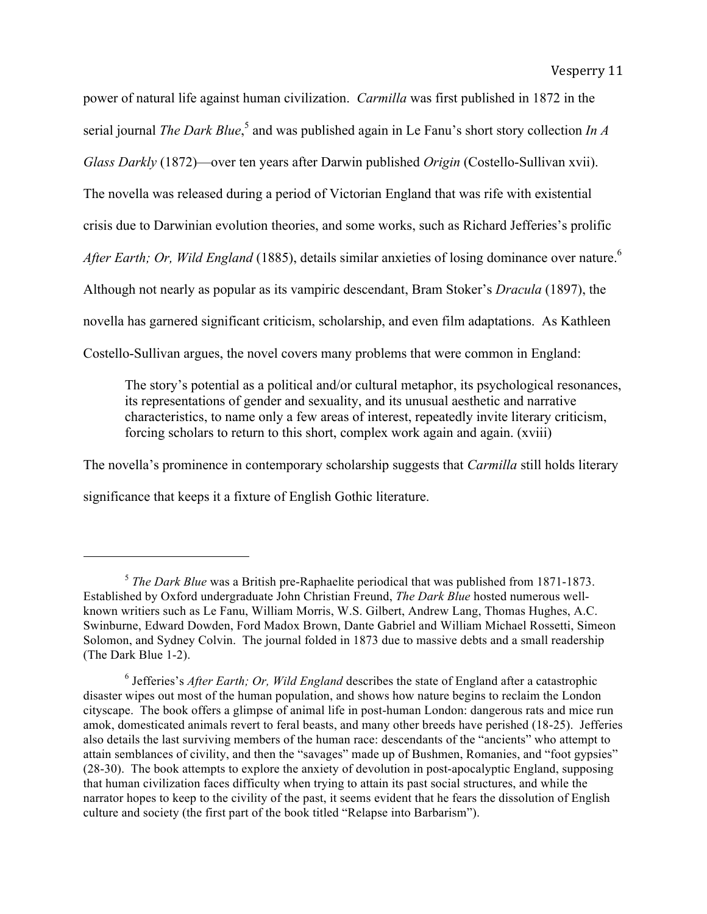power of natural life against human civilization. *Carmilla* was first published in 1872 in the serial journal *The Dark Blue*,<sup>5</sup> and was published again in Le Fanu's short story collection *In A Glass Darkly* (1872)—over ten years after Darwin published *Origin* (Costello-Sullivan xvii). The novella was released during a period of Victorian England that was rife with existential crisis due to Darwinian evolution theories, and some works, such as Richard Jefferies's prolific *After Earth; Or, Wild England* (1885), details similar anxieties of losing dominance over nature.<sup>6</sup> Although not nearly as popular as its vampiric descendant, Bram Stoker's *Dracula* (1897), the novella has garnered significant criticism, scholarship, and even film adaptations. As Kathleen Costello-Sullivan argues, the novel covers many problems that were common in England:

The story's potential as a political and/or cultural metaphor, its psychological resonances, its representations of gender and sexuality, and its unusual aesthetic and narrative characteristics, to name only a few areas of interest, repeatedly invite literary criticism, forcing scholars to return to this short, complex work again and again. (xviii)

The novella's prominence in contemporary scholarship suggests that *Carmilla* still holds literary significance that keeps it a fixture of English Gothic literature.

<sup>5</sup> *The Dark Blue* was a British pre-Raphaelite periodical that was published from 1871-1873. Established by Oxford undergraduate John Christian Freund, *The Dark Blue* hosted numerous wellknown writiers such as Le Fanu, William Morris, W.S. Gilbert, Andrew Lang, Thomas Hughes, A.C. Swinburne, Edward Dowden, Ford Madox Brown, Dante Gabriel and William Michael Rossetti, Simeon Solomon, and Sydney Colvin. The journal folded in 1873 due to massive debts and a small readership (The Dark Blue 1-2).

<sup>6</sup> Jefferies's *After Earth; Or, Wild England* describes the state of England after a catastrophic disaster wipes out most of the human population, and shows how nature begins to reclaim the London cityscape. The book offers a glimpse of animal life in post-human London: dangerous rats and mice run amok, domesticated animals revert to feral beasts, and many other breeds have perished (18-25). Jefferies also details the last surviving members of the human race: descendants of the "ancients" who attempt to attain semblances of civility, and then the "savages" made up of Bushmen, Romanies, and "foot gypsies" (28-30). The book attempts to explore the anxiety of devolution in post-apocalyptic England, supposing that human civilization faces difficulty when trying to attain its past social structures, and while the narrator hopes to keep to the civility of the past, it seems evident that he fears the dissolution of English culture and society (the first part of the book titled "Relapse into Barbarism").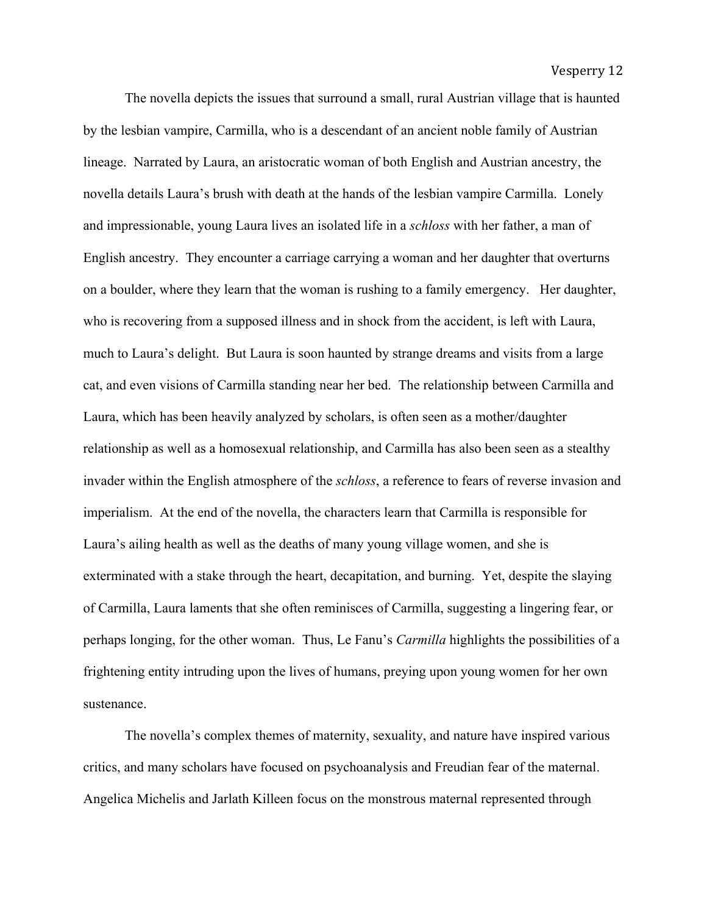The novella depicts the issues that surround a small, rural Austrian village that is haunted by the lesbian vampire, Carmilla, who is a descendant of an ancient noble family of Austrian lineage. Narrated by Laura, an aristocratic woman of both English and Austrian ancestry, the novella details Laura's brush with death at the hands of the lesbian vampire Carmilla. Lonely and impressionable, young Laura lives an isolated life in a *schloss* with her father, a man of English ancestry. They encounter a carriage carrying a woman and her daughter that overturns on a boulder, where they learn that the woman is rushing to a family emergency. Her daughter, who is recovering from a supposed illness and in shock from the accident, is left with Laura, much to Laura's delight. But Laura is soon haunted by strange dreams and visits from a large cat, and even visions of Carmilla standing near her bed. The relationship between Carmilla and Laura, which has been heavily analyzed by scholars, is often seen as a mother/daughter relationship as well as a homosexual relationship, and Carmilla has also been seen as a stealthy invader within the English atmosphere of the *schloss*, a reference to fears of reverse invasion and imperialism. At the end of the novella, the characters learn that Carmilla is responsible for Laura's ailing health as well as the deaths of many young village women, and she is exterminated with a stake through the heart, decapitation, and burning. Yet, despite the slaying of Carmilla, Laura laments that she often reminisces of Carmilla, suggesting a lingering fear, or perhaps longing, for the other woman. Thus, Le Fanu's *Carmilla* highlights the possibilities of a frightening entity intruding upon the lives of humans, preying upon young women for her own sustenance.

The novella's complex themes of maternity, sexuality, and nature have inspired various critics, and many scholars have focused on psychoanalysis and Freudian fear of the maternal. Angelica Michelis and Jarlath Killeen focus on the monstrous maternal represented through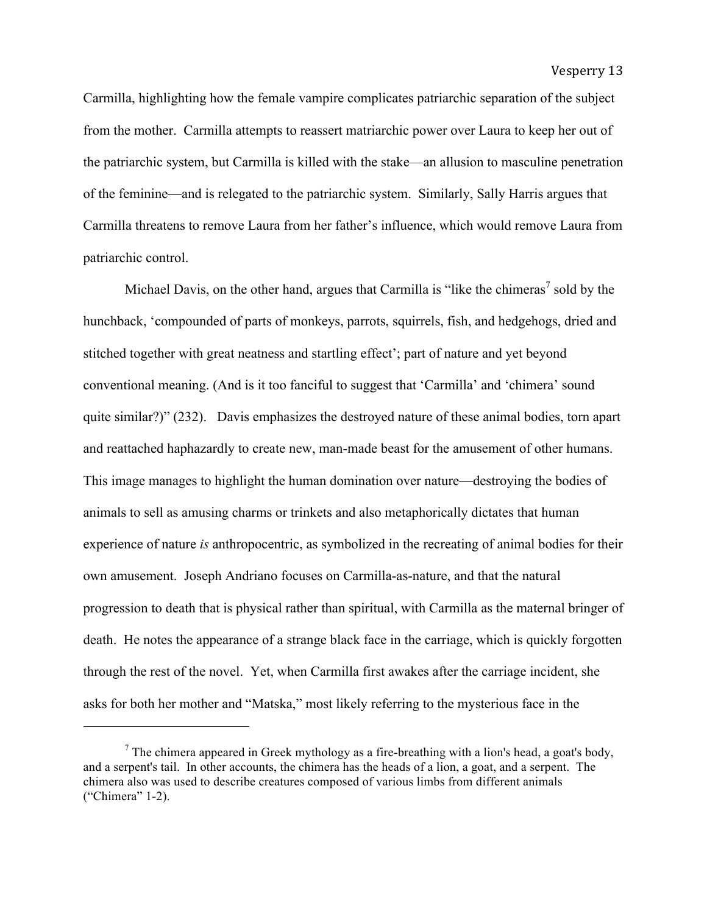Carmilla, highlighting how the female vampire complicates patriarchic separation of the subject from the mother. Carmilla attempts to reassert matriarchic power over Laura to keep her out of the patriarchic system, but Carmilla is killed with the stake—an allusion to masculine penetration of the feminine—and is relegated to the patriarchic system. Similarly, Sally Harris argues that Carmilla threatens to remove Laura from her father's influence, which would remove Laura from patriarchic control.

Michael Davis, on the other hand, argues that Carmilla is "like the chimeras" sold by the hunchback, 'compounded of parts of monkeys, parrots, squirrels, fish, and hedgehogs, dried and stitched together with great neatness and startling effect'; part of nature and yet beyond conventional meaning. (And is it too fanciful to suggest that 'Carmilla' and 'chimera' sound quite similar?)" (232). Davis emphasizes the destroyed nature of these animal bodies, torn apart and reattached haphazardly to create new, man-made beast for the amusement of other humans. This image manages to highlight the human domination over nature—destroying the bodies of animals to sell as amusing charms or trinkets and also metaphorically dictates that human experience of nature *is* anthropocentric, as symbolized in the recreating of animal bodies for their own amusement. Joseph Andriano focuses on Carmilla-as-nature, and that the natural progression to death that is physical rather than spiritual, with Carmilla as the maternal bringer of death. He notes the appearance of a strange black face in the carriage, which is quickly forgotten through the rest of the novel. Yet, when Carmilla first awakes after the carriage incident, she asks for both her mother and "Matska," most likely referring to the mysterious face in the

 $<sup>7</sup>$  The chimera appeared in Greek mythology as a fire-breathing with a lion's head, a goat's body,</sup> and a serpent's tail. In other accounts, the chimera has the heads of a lion, a goat, and a serpent. The chimera also was used to describe creatures composed of various limbs from different animals ("Chimera" 1-2).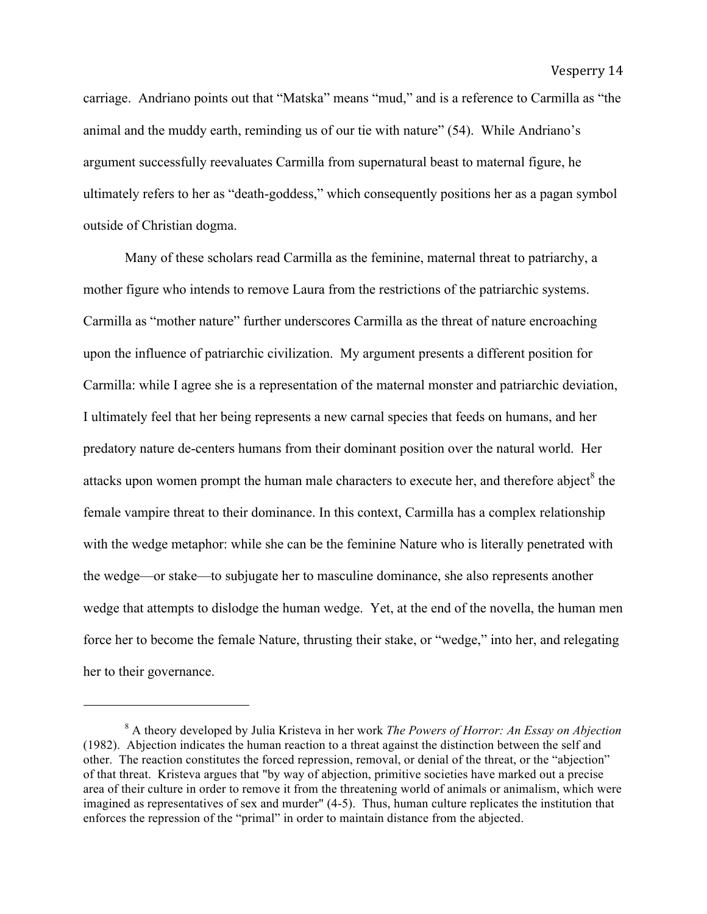carriage. Andriano points out that "Matska" means "mud," and is a reference to Carmilla as "the animal and the muddy earth, reminding us of our tie with nature" (54). While Andriano's argument successfully reevaluates Carmilla from supernatural beast to maternal figure, he ultimately refers to her as "death-goddess," which consequently positions her as a pagan symbol outside of Christian dogma.

Many of these scholars read Carmilla as the feminine, maternal threat to patriarchy, a mother figure who intends to remove Laura from the restrictions of the patriarchic systems. Carmilla as "mother nature" further underscores Carmilla as the threat of nature encroaching upon the influence of patriarchic civilization. My argument presents a different position for Carmilla: while I agree she is a representation of the maternal monster and patriarchic deviation, I ultimately feel that her being represents a new carnal species that feeds on humans, and her predatory nature de-centers humans from their dominant position over the natural world. Her attacks upon women prompt the human male characters to execute her, and therefore abject<sup>8</sup> the female vampire threat to their dominance. In this context, Carmilla has a complex relationship with the wedge metaphor: while she can be the feminine Nature who is literally penetrated with the wedge—or stake—to subjugate her to masculine dominance, she also represents another wedge that attempts to dislodge the human wedge. Yet, at the end of the novella, the human men force her to become the female Nature, thrusting their stake, or "wedge," into her, and relegating her to their governance.

<sup>8</sup> A theory developed by Julia Kristeva in her work *The Powers of Horror: An Essay on Abjection* (1982). Abjection indicates the human reaction to a threat against the distinction between the self and other. The reaction constitutes the forced repression, removal, or denial of the threat, or the "abjection" of that threat. Kristeva argues that "by way of abjection, primitive societies have marked out a precise area of their culture in order to remove it from the threatening world of animals or animalism, which were imagined as representatives of sex and murder" (4-5). Thus, human culture replicates the institution that enforces the repression of the "primal" in order to maintain distance from the abjected.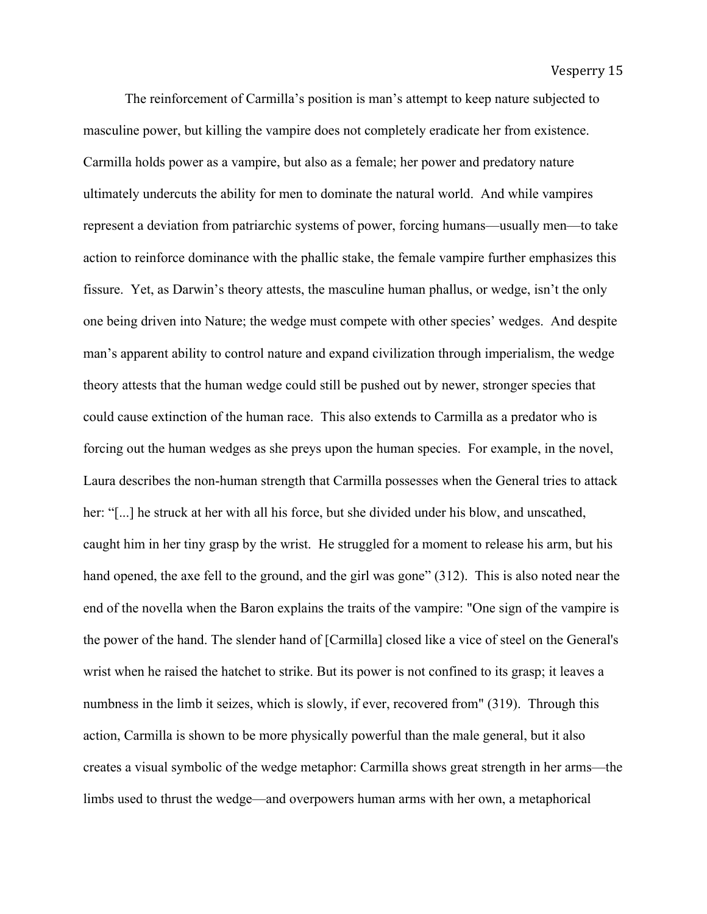The reinforcement of Carmilla's position is man's attempt to keep nature subjected to masculine power, but killing the vampire does not completely eradicate her from existence. Carmilla holds power as a vampire, but also as a female; her power and predatory nature ultimately undercuts the ability for men to dominate the natural world. And while vampires represent a deviation from patriarchic systems of power, forcing humans—usually men—to take action to reinforce dominance with the phallic stake, the female vampire further emphasizes this fissure. Yet, as Darwin's theory attests, the masculine human phallus, or wedge, isn't the only one being driven into Nature; the wedge must compete with other species' wedges. And despite man's apparent ability to control nature and expand civilization through imperialism, the wedge theory attests that the human wedge could still be pushed out by newer, stronger species that could cause extinction of the human race. This also extends to Carmilla as a predator who is forcing out the human wedges as she preys upon the human species. For example, in the novel, Laura describes the non-human strength that Carmilla possesses when the General tries to attack her: "[...] he struck at her with all his force, but she divided under his blow, and unscathed, caught him in her tiny grasp by the wrist. He struggled for a moment to release his arm, but his hand opened, the axe fell to the ground, and the girl was gone" (312). This is also noted near the end of the novella when the Baron explains the traits of the vampire: "One sign of the vampire is the power of the hand. The slender hand of [Carmilla] closed like a vice of steel on the General's wrist when he raised the hatchet to strike. But its power is not confined to its grasp; it leaves a numbness in the limb it seizes, which is slowly, if ever, recovered from" (319). Through this action, Carmilla is shown to be more physically powerful than the male general, but it also creates a visual symbolic of the wedge metaphor: Carmilla shows great strength in her arms—the limbs used to thrust the wedge—and overpowers human arms with her own, a metaphorical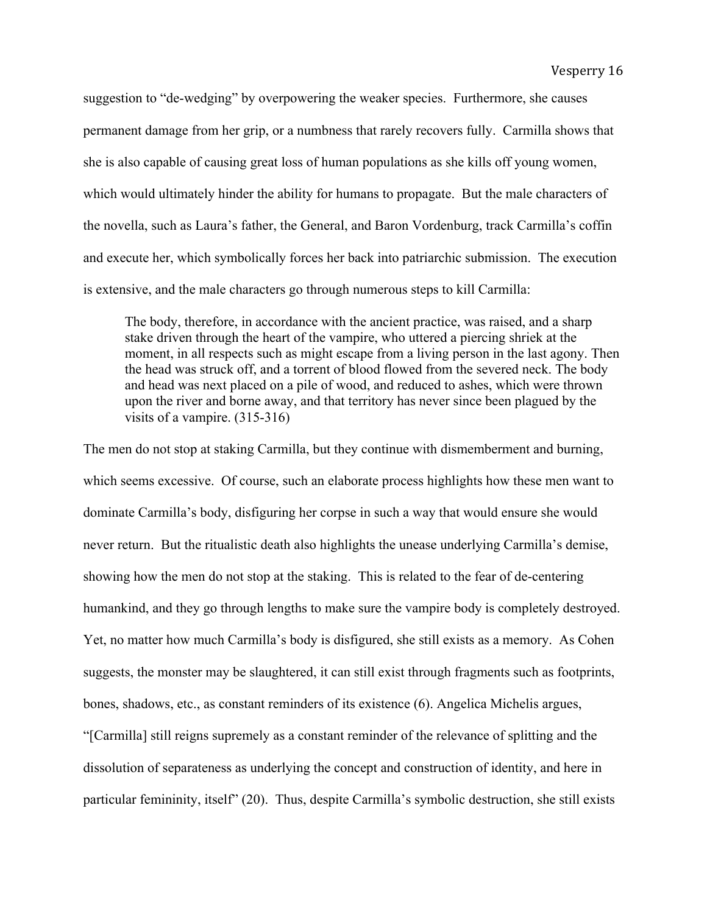suggestion to "de-wedging" by overpowering the weaker species. Furthermore, she causes permanent damage from her grip, or a numbness that rarely recovers fully. Carmilla shows that she is also capable of causing great loss of human populations as she kills off young women, which would ultimately hinder the ability for humans to propagate. But the male characters of the novella, such as Laura's father, the General, and Baron Vordenburg, track Carmilla's coffin and execute her, which symbolically forces her back into patriarchic submission. The execution is extensive, and the male characters go through numerous steps to kill Carmilla:

The body, therefore, in accordance with the ancient practice, was raised, and a sharp stake driven through the heart of the vampire, who uttered a piercing shriek at the moment, in all respects such as might escape from a living person in the last agony. Then the head was struck off, and a torrent of blood flowed from the severed neck. The body and head was next placed on a pile of wood, and reduced to ashes, which were thrown upon the river and borne away, and that territory has never since been plagued by the visits of a vampire. (315-316)

The men do not stop at staking Carmilla, but they continue with dismemberment and burning, which seems excessive. Of course, such an elaborate process highlights how these men want to dominate Carmilla's body, disfiguring her corpse in such a way that would ensure she would never return. But the ritualistic death also highlights the unease underlying Carmilla's demise, showing how the men do not stop at the staking. This is related to the fear of de-centering humankind, and they go through lengths to make sure the vampire body is completely destroyed. Yet, no matter how much Carmilla's body is disfigured, she still exists as a memory. As Cohen suggests, the monster may be slaughtered, it can still exist through fragments such as footprints, bones, shadows, etc., as constant reminders of its existence (6). Angelica Michelis argues, "[Carmilla] still reigns supremely as a constant reminder of the relevance of splitting and the dissolution of separateness as underlying the concept and construction of identity, and here in particular femininity, itself" (20). Thus, despite Carmilla's symbolic destruction, she still exists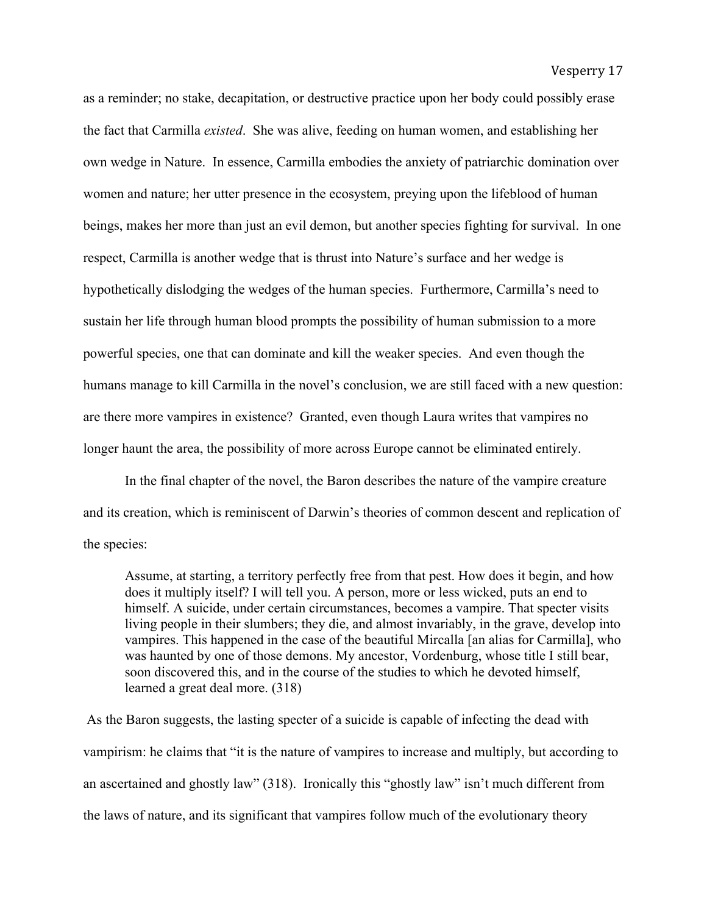as a reminder; no stake, decapitation, or destructive practice upon her body could possibly erase the fact that Carmilla *existed*. She was alive, feeding on human women, and establishing her own wedge in Nature. In essence, Carmilla embodies the anxiety of patriarchic domination over women and nature; her utter presence in the ecosystem, preying upon the lifeblood of human beings, makes her more than just an evil demon, but another species fighting for survival. In one respect, Carmilla is another wedge that is thrust into Nature's surface and her wedge is hypothetically dislodging the wedges of the human species. Furthermore, Carmilla's need to sustain her life through human blood prompts the possibility of human submission to a more powerful species, one that can dominate and kill the weaker species. And even though the humans manage to kill Carmilla in the novel's conclusion, we are still faced with a new question: are there more vampires in existence? Granted, even though Laura writes that vampires no longer haunt the area, the possibility of more across Europe cannot be eliminated entirely.

In the final chapter of the novel, the Baron describes the nature of the vampire creature and its creation, which is reminiscent of Darwin's theories of common descent and replication of the species:

Assume, at starting, a territory perfectly free from that pest. How does it begin, and how does it multiply itself? I will tell you. A person, more or less wicked, puts an end to himself. A suicide, under certain circumstances, becomes a vampire. That specter visits living people in their slumbers; they die, and almost invariably, in the grave, develop into vampires. This happened in the case of the beautiful Mircalla [an alias for Carmilla], who was haunted by one of those demons. My ancestor, Vordenburg, whose title I still bear, soon discovered this, and in the course of the studies to which he devoted himself, learned a great deal more. (318)

As the Baron suggests, the lasting specter of a suicide is capable of infecting the dead with vampirism: he claims that "it is the nature of vampires to increase and multiply, but according to an ascertained and ghostly law" (318). Ironically this "ghostly law" isn't much different from the laws of nature, and its significant that vampires follow much of the evolutionary theory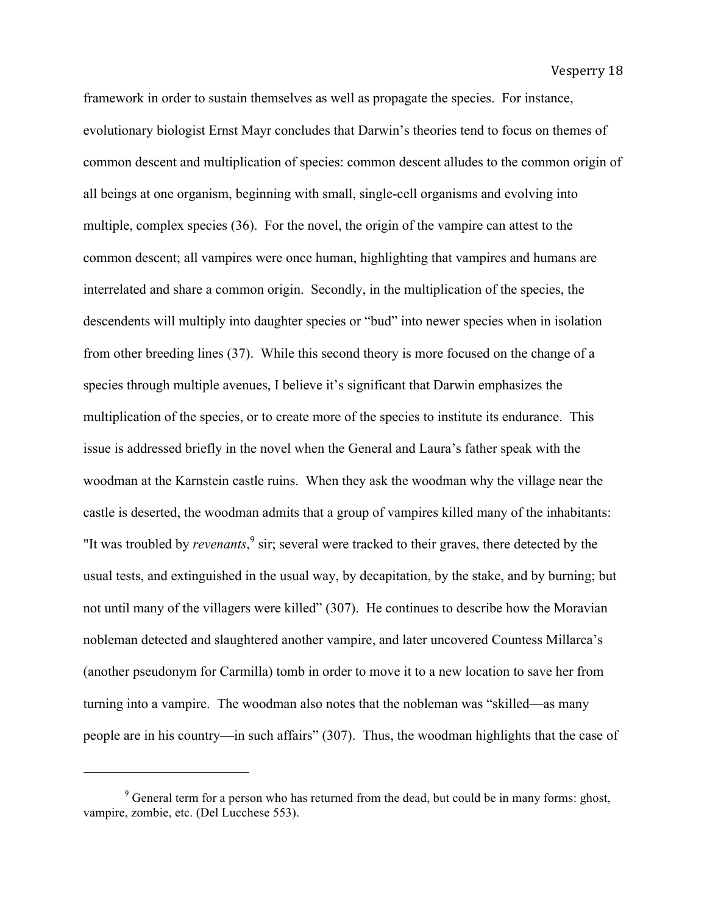framework in order to sustain themselves as well as propagate the species. For instance, evolutionary biologist Ernst Mayr concludes that Darwin's theories tend to focus on themes of common descent and multiplication of species: common descent alludes to the common origin of all beings at one organism, beginning with small, single-cell organisms and evolving into multiple, complex species (36). For the novel, the origin of the vampire can attest to the common descent; all vampires were once human, highlighting that vampires and humans are interrelated and share a common origin. Secondly, in the multiplication of the species, the descendents will multiply into daughter species or "bud" into newer species when in isolation from other breeding lines (37). While this second theory is more focused on the change of a species through multiple avenues, I believe it's significant that Darwin emphasizes the multiplication of the species, or to create more of the species to institute its endurance. This issue is addressed briefly in the novel when the General and Laura's father speak with the woodman at the Karnstein castle ruins. When they ask the woodman why the village near the castle is deserted, the woodman admits that a group of vampires killed many of the inhabitants: "It was troubled by *revenants*,<sup>9</sup> sir; several were tracked to their graves, there detected by the usual tests, and extinguished in the usual way, by decapitation, by the stake, and by burning; but not until many of the villagers were killed" (307). He continues to describe how the Moravian nobleman detected and slaughtered another vampire, and later uncovered Countess Millarca's (another pseudonym for Carmilla) tomb in order to move it to a new location to save her from turning into a vampire. The woodman also notes that the nobleman was "skilled—as many people are in his country—in such affairs" (307). Thus, the woodman highlights that the case of

 $9^9$  General term for a person who has returned from the dead, but could be in many forms: ghost, vampire, zombie, etc. (Del Lucchese 553).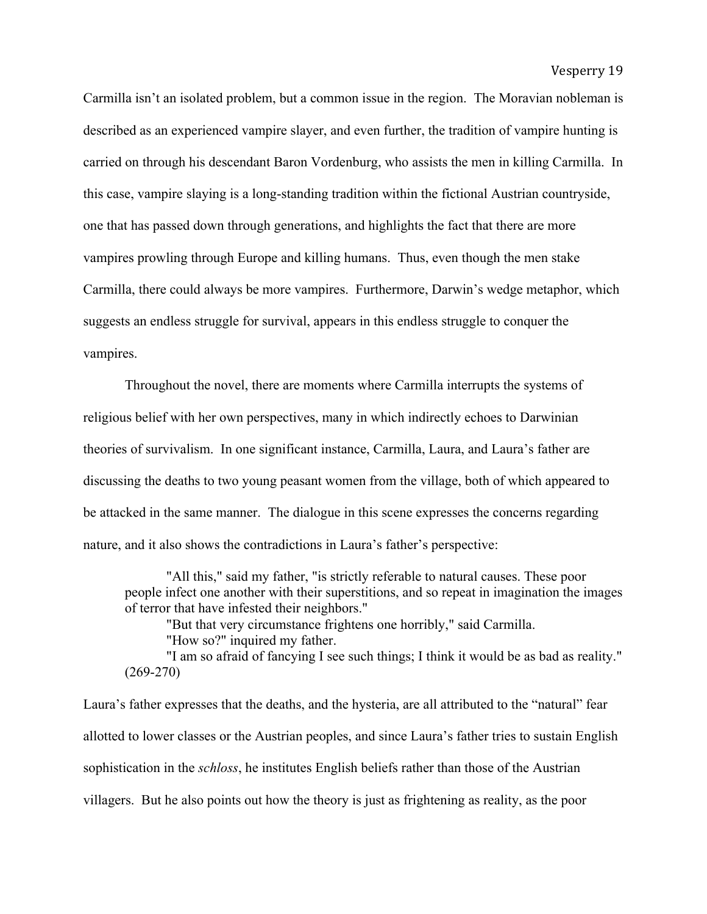Carmilla isn't an isolated problem, but a common issue in the region. The Moravian nobleman is described as an experienced vampire slayer, and even further, the tradition of vampire hunting is carried on through his descendant Baron Vordenburg, who assists the men in killing Carmilla. In this case, vampire slaying is a long-standing tradition within the fictional Austrian countryside, one that has passed down through generations, and highlights the fact that there are more vampires prowling through Europe and killing humans. Thus, even though the men stake Carmilla, there could always be more vampires. Furthermore, Darwin's wedge metaphor, which suggests an endless struggle for survival, appears in this endless struggle to conquer the vampires.

Throughout the novel, there are moments where Carmilla interrupts the systems of religious belief with her own perspectives, many in which indirectly echoes to Darwinian theories of survivalism. In one significant instance, Carmilla, Laura, and Laura's father are discussing the deaths to two young peasant women from the village, both of which appeared to be attacked in the same manner. The dialogue in this scene expresses the concerns regarding nature, and it also shows the contradictions in Laura's father's perspective:

"All this," said my father, "is strictly referable to natural causes. These poor people infect one another with their superstitions, and so repeat in imagination the images of terror that have infested their neighbors."

"But that very circumstance frightens one horribly," said Carmilla.

"How so?" inquired my father.

"I am so afraid of fancying I see such things; I think it would be as bad as reality." (269-270)

Laura's father expresses that the deaths, and the hysteria, are all attributed to the "natural" fear allotted to lower classes or the Austrian peoples, and since Laura's father tries to sustain English sophistication in the *schloss*, he institutes English beliefs rather than those of the Austrian villagers. But he also points out how the theory is just as frightening as reality, as the poor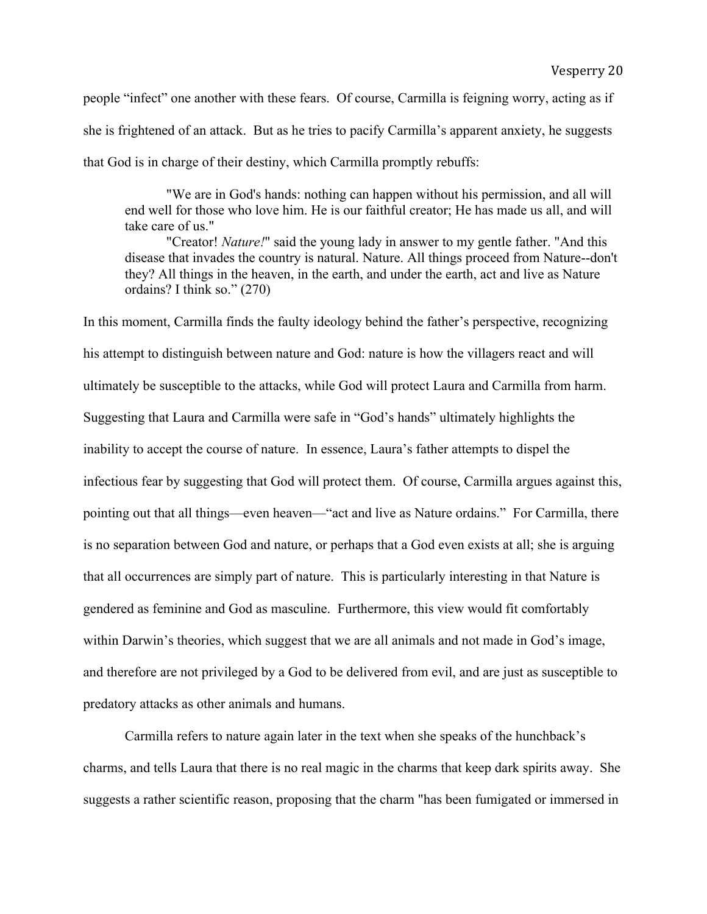people "infect" one another with these fears. Of course, Carmilla is feigning worry, acting as if she is frightened of an attack. But as he tries to pacify Carmilla's apparent anxiety, he suggests that God is in charge of their destiny, which Carmilla promptly rebuffs:

"We are in God's hands: nothing can happen without his permission, and all will end well for those who love him. He is our faithful creator; He has made us all, and will take care of us."

"Creator! *Nature!*" said the young lady in answer to my gentle father. "And this disease that invades the country is natural. Nature. All things proceed from Nature--don't they? All things in the heaven, in the earth, and under the earth, act and live as Nature ordains? I think so." (270)

In this moment, Carmilla finds the faulty ideology behind the father's perspective, recognizing his attempt to distinguish between nature and God: nature is how the villagers react and will ultimately be susceptible to the attacks, while God will protect Laura and Carmilla from harm. Suggesting that Laura and Carmilla were safe in "God's hands" ultimately highlights the inability to accept the course of nature. In essence, Laura's father attempts to dispel the infectious fear by suggesting that God will protect them. Of course, Carmilla argues against this, pointing out that all things—even heaven—"act and live as Nature ordains." For Carmilla, there is no separation between God and nature, or perhaps that a God even exists at all; she is arguing that all occurrences are simply part of nature. This is particularly interesting in that Nature is gendered as feminine and God as masculine. Furthermore, this view would fit comfortably within Darwin's theories, which suggest that we are all animals and not made in God's image, and therefore are not privileged by a God to be delivered from evil, and are just as susceptible to predatory attacks as other animals and humans.

Carmilla refers to nature again later in the text when she speaks of the hunchback's charms, and tells Laura that there is no real magic in the charms that keep dark spirits away. She suggests a rather scientific reason, proposing that the charm "has been fumigated or immersed in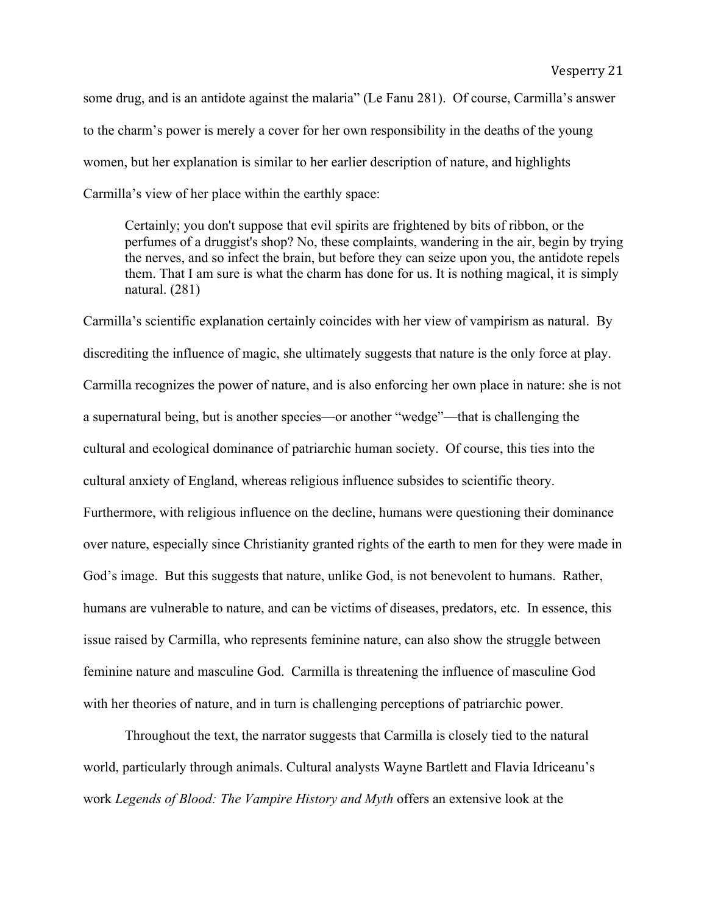some drug, and is an antidote against the malaria" (Le Fanu 281). Of course, Carmilla's answer to the charm's power is merely a cover for her own responsibility in the deaths of the young women, but her explanation is similar to her earlier description of nature, and highlights Carmilla's view of her place within the earthly space:

Certainly; you don't suppose that evil spirits are frightened by bits of ribbon, or the perfumes of a druggist's shop? No, these complaints, wandering in the air, begin by trying the nerves, and so infect the brain, but before they can seize upon you, the antidote repels them. That I am sure is what the charm has done for us. It is nothing magical, it is simply natural. (281)

Carmilla's scientific explanation certainly coincides with her view of vampirism as natural. By discrediting the influence of magic, she ultimately suggests that nature is the only force at play. Carmilla recognizes the power of nature, and is also enforcing her own place in nature: she is not a supernatural being, but is another species—or another "wedge"—that is challenging the cultural and ecological dominance of patriarchic human society. Of course, this ties into the cultural anxiety of England, whereas religious influence subsides to scientific theory. Furthermore, with religious influence on the decline, humans were questioning their dominance over nature, especially since Christianity granted rights of the earth to men for they were made in God's image. But this suggests that nature, unlike God, is not benevolent to humans. Rather, humans are vulnerable to nature, and can be victims of diseases, predators, etc. In essence, this issue raised by Carmilla, who represents feminine nature, can also show the struggle between feminine nature and masculine God. Carmilla is threatening the influence of masculine God with her theories of nature, and in turn is challenging perceptions of patriarchic power.

Throughout the text, the narrator suggests that Carmilla is closely tied to the natural world, particularly through animals. Cultural analysts Wayne Bartlett and Flavia Idriceanu's work *Legends of Blood: The Vampire History and Myth* offers an extensive look at the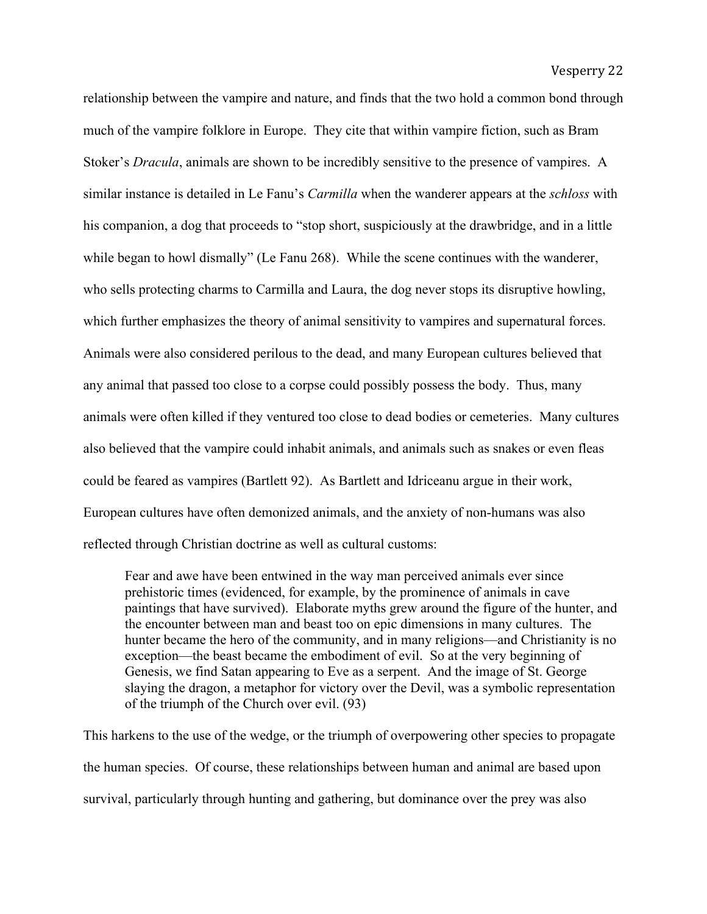relationship between the vampire and nature, and finds that the two hold a common bond through much of the vampire folklore in Europe. They cite that within vampire fiction, such as Bram Stoker's *Dracula*, animals are shown to be incredibly sensitive to the presence of vampires. A similar instance is detailed in Le Fanu's *Carmilla* when the wanderer appears at the *schloss* with his companion, a dog that proceeds to "stop short, suspiciously at the drawbridge, and in a little while began to howl dismally" (Le Fanu 268). While the scene continues with the wanderer, who sells protecting charms to Carmilla and Laura, the dog never stops its disruptive howling, which further emphasizes the theory of animal sensitivity to vampires and supernatural forces. Animals were also considered perilous to the dead, and many European cultures believed that any animal that passed too close to a corpse could possibly possess the body. Thus, many animals were often killed if they ventured too close to dead bodies or cemeteries. Many cultures also believed that the vampire could inhabit animals, and animals such as snakes or even fleas could be feared as vampires (Bartlett 92). As Bartlett and Idriceanu argue in their work, European cultures have often demonized animals, and the anxiety of non-humans was also reflected through Christian doctrine as well as cultural customs:

Fear and awe have been entwined in the way man perceived animals ever since prehistoric times (evidenced, for example, by the prominence of animals in cave paintings that have survived). Elaborate myths grew around the figure of the hunter, and the encounter between man and beast too on epic dimensions in many cultures. The hunter became the hero of the community, and in many religions—and Christianity is no exception—the beast became the embodiment of evil. So at the very beginning of Genesis, we find Satan appearing to Eve as a serpent. And the image of St. George slaying the dragon, a metaphor for victory over the Devil, was a symbolic representation of the triumph of the Church over evil. (93)

This harkens to the use of the wedge, or the triumph of overpowering other species to propagate the human species. Of course, these relationships between human and animal are based upon survival, particularly through hunting and gathering, but dominance over the prey was also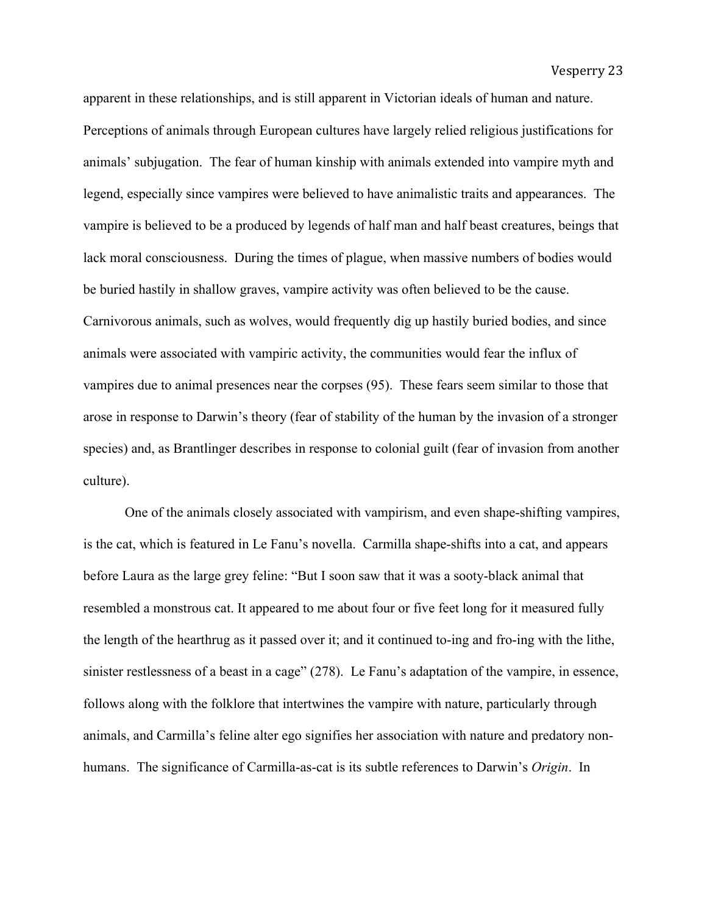apparent in these relationships, and is still apparent in Victorian ideals of human and nature. Perceptions of animals through European cultures have largely relied religious justifications for animals' subjugation. The fear of human kinship with animals extended into vampire myth and legend, especially since vampires were believed to have animalistic traits and appearances. The vampire is believed to be a produced by legends of half man and half beast creatures, beings that lack moral consciousness. During the times of plague, when massive numbers of bodies would be buried hastily in shallow graves, vampire activity was often believed to be the cause. Carnivorous animals, such as wolves, would frequently dig up hastily buried bodies, and since animals were associated with vampiric activity, the communities would fear the influx of vampires due to animal presences near the corpses (95). These fears seem similar to those that arose in response to Darwin's theory (fear of stability of the human by the invasion of a stronger species) and, as Brantlinger describes in response to colonial guilt (fear of invasion from another culture).

One of the animals closely associated with vampirism, and even shape-shifting vampires, is the cat, which is featured in Le Fanu's novella. Carmilla shape-shifts into a cat, and appears before Laura as the large grey feline: "But I soon saw that it was a sooty-black animal that resembled a monstrous cat. It appeared to me about four or five feet long for it measured fully the length of the hearthrug as it passed over it; and it continued to-ing and fro-ing with the lithe, sinister restlessness of a beast in a cage" (278). Le Fanu's adaptation of the vampire, in essence, follows along with the folklore that intertwines the vampire with nature, particularly through animals, and Carmilla's feline alter ego signifies her association with nature and predatory nonhumans. The significance of Carmilla-as-cat is its subtle references to Darwin's *Origin*. In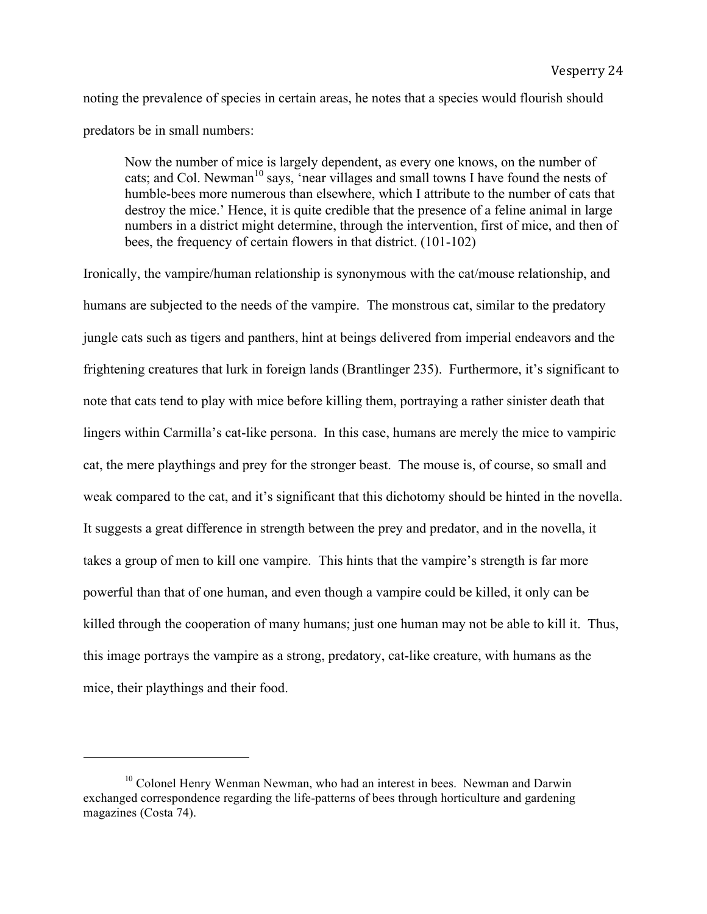noting the prevalence of species in certain areas, he notes that a species would flourish should predators be in small numbers:

Now the number of mice is largely dependent, as every one knows, on the number of cats; and Col. Newman<sup>10</sup> says, 'near villages and small towns I have found the nests of humble-bees more numerous than elsewhere, which I attribute to the number of cats that destroy the mice.' Hence, it is quite credible that the presence of a feline animal in large numbers in a district might determine, through the intervention, first of mice, and then of bees, the frequency of certain flowers in that district. (101-102)

Ironically, the vampire/human relationship is synonymous with the cat/mouse relationship, and humans are subjected to the needs of the vampire. The monstrous cat, similar to the predatory jungle cats such as tigers and panthers, hint at beings delivered from imperial endeavors and the frightening creatures that lurk in foreign lands (Brantlinger 235). Furthermore, it's significant to note that cats tend to play with mice before killing them, portraying a rather sinister death that lingers within Carmilla's cat-like persona. In this case, humans are merely the mice to vampiric cat, the mere playthings and prey for the stronger beast. The mouse is, of course, so small and weak compared to the cat, and it's significant that this dichotomy should be hinted in the novella. It suggests a great difference in strength between the prey and predator, and in the novella, it takes a group of men to kill one vampire. This hints that the vampire's strength is far more powerful than that of one human, and even though a vampire could be killed, it only can be killed through the cooperation of many humans; just one human may not be able to kill it. Thus, this image portrays the vampire as a strong, predatory, cat-like creature, with humans as the mice, their playthings and their food.

 $10$  Colonel Henry Wenman Newman, who had an interest in bees. Newman and Darwin exchanged correspondence regarding the life-patterns of bees through horticulture and gardening magazines (Costa 74).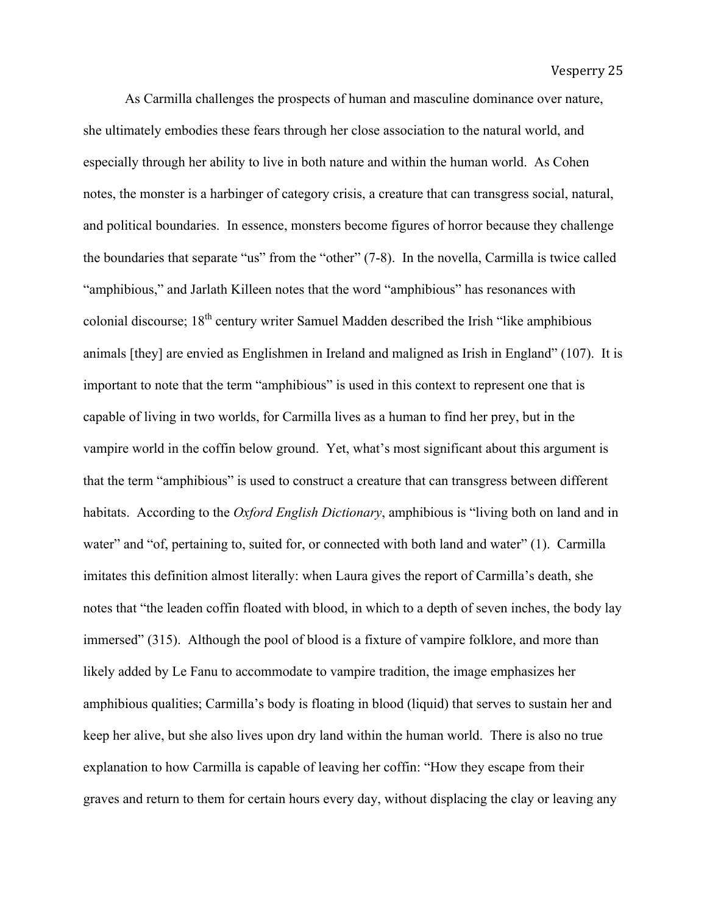As Carmilla challenges the prospects of human and masculine dominance over nature, she ultimately embodies these fears through her close association to the natural world, and especially through her ability to live in both nature and within the human world. As Cohen notes, the monster is a harbinger of category crisis, a creature that can transgress social, natural, and political boundaries. In essence, monsters become figures of horror because they challenge the boundaries that separate "us" from the "other" (7-8). In the novella, Carmilla is twice called "amphibious," and Jarlath Killeen notes that the word "amphibious" has resonances with colonial discourse; 18<sup>th</sup> century writer Samuel Madden described the Irish "like amphibious" animals [they] are envied as Englishmen in Ireland and maligned as Irish in England" (107). It is important to note that the term "amphibious" is used in this context to represent one that is capable of living in two worlds, for Carmilla lives as a human to find her prey, but in the vampire world in the coffin below ground. Yet, what's most significant about this argument is that the term "amphibious" is used to construct a creature that can transgress between different habitats. According to the *Oxford English Dictionary*, amphibious is "living both on land and in water" and "of, pertaining to, suited for, or connected with both land and water" (1). Carmilla imitates this definition almost literally: when Laura gives the report of Carmilla's death, she notes that "the leaden coffin floated with blood, in which to a depth of seven inches, the body lay immersed" (315). Although the pool of blood is a fixture of vampire folklore, and more than likely added by Le Fanu to accommodate to vampire tradition, the image emphasizes her amphibious qualities; Carmilla's body is floating in blood (liquid) that serves to sustain her and keep her alive, but she also lives upon dry land within the human world. There is also no true explanation to how Carmilla is capable of leaving her coffin: "How they escape from their graves and return to them for certain hours every day, without displacing the clay or leaving any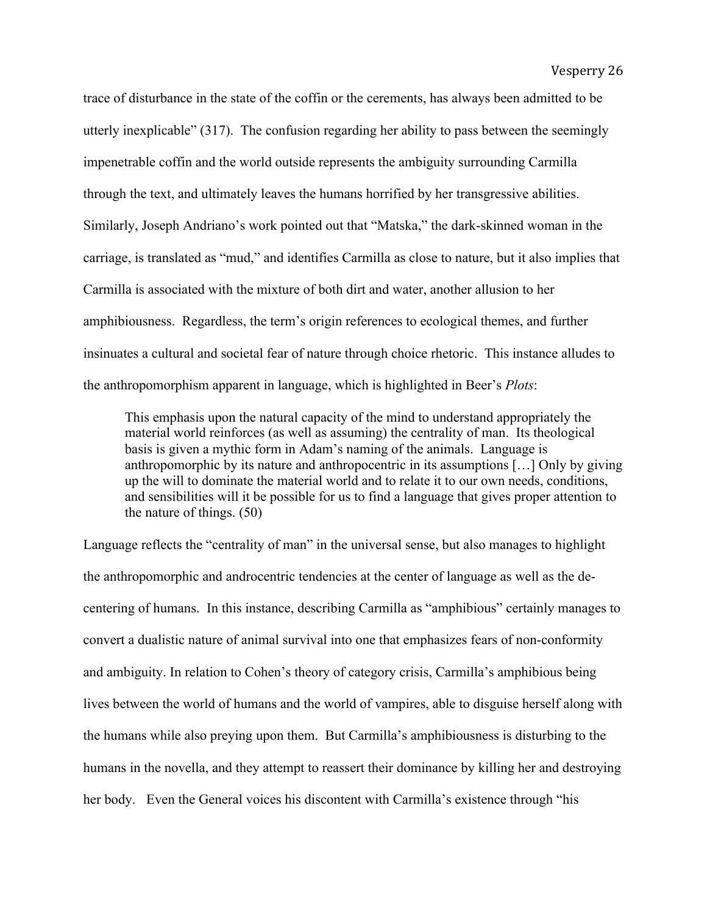trace of disturbance in the state of the coffin or the cerements, has always been admitted to be utterly inexplicable" (317). The confusion regarding her ability to pass between the seemingly impenetrable coffin and the world outside represents the ambiguity surrounding Carmilla through the text, and ultimately leaves the humans horrified by her transgressive abilities. Similarly, Joseph Andriano's work pointed out that "Matska," the dark-skinned woman in the carriage, is translated as "mud," and identifies Carmilla as close to nature, but it also implies that Carmilla is associated with the mixture of both dirt and water, another allusion to her amphibiousness. Regardless, the term's origin references to ecological themes, and further insinuates a cultural and societal fear of nature through choice rhetoric. This instance alludes to the anthropomorphism apparent in language, which is highlighted in Beer's *Plots*:

This emphasis upon the natural capacity of the mind to understand appropriately the material world reinforces (as well as assuming) the centrality of man. Its theological basis is given a mythic form in Adam's naming of the animals. Language is anthropomorphic by its nature and anthropocentric in its assumptions […] Only by giving up the will to dominate the material world and to relate it to our own needs, conditions, and sensibilities will it be possible for us to find a language that gives proper attention to the nature of things. (50)

Language reflects the "centrality of man" in the universal sense, but also manages to highlight the anthropomorphic and androcentric tendencies at the center of language as well as the decentering of humans. In this instance, describing Carmilla as "amphibious" certainly manages to convert a dualistic nature of animal survival into one that emphasizes fears of non-conformity and ambiguity. In relation to Cohen's theory of category crisis, Carmilla's amphibious being lives between the world of humans and the world of vampires, able to disguise herself along with the humans while also preying upon them. But Carmilla's amphibiousness is disturbing to the humans in the novella, and they attempt to reassert their dominance by killing her and destroying her body. Even the General voices his discontent with Carmilla's existence through "his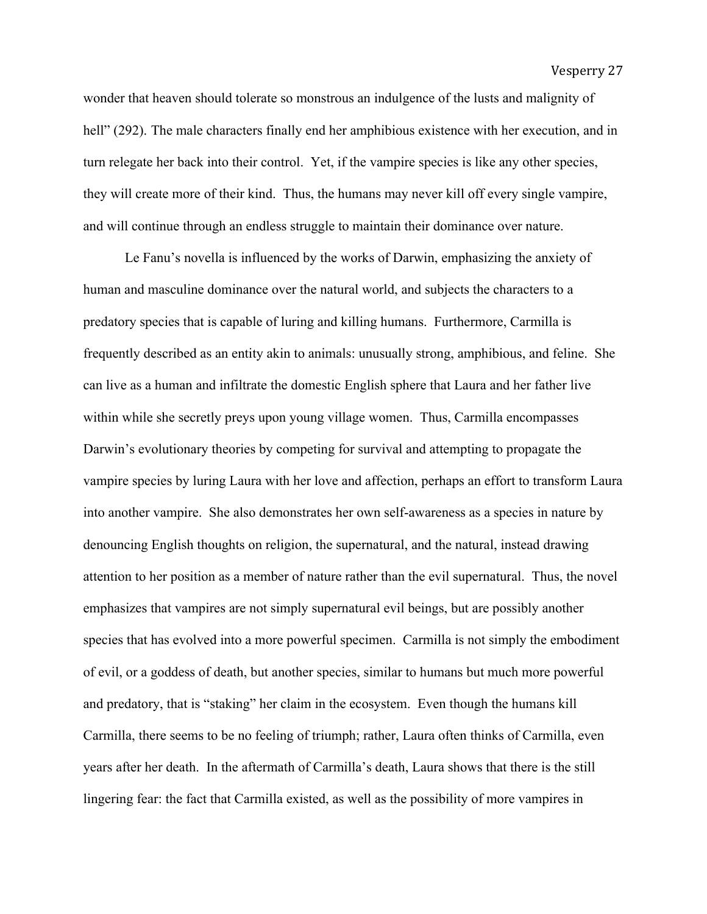Vesperry 27

wonder that heaven should tolerate so monstrous an indulgence of the lusts and malignity of hell" (292). The male characters finally end her amphibious existence with her execution, and in turn relegate her back into their control. Yet, if the vampire species is like any other species, they will create more of their kind. Thus, the humans may never kill off every single vampire, and will continue through an endless struggle to maintain their dominance over nature.

Le Fanu's novella is influenced by the works of Darwin, emphasizing the anxiety of human and masculine dominance over the natural world, and subjects the characters to a predatory species that is capable of luring and killing humans. Furthermore, Carmilla is frequently described as an entity akin to animals: unusually strong, amphibious, and feline. She can live as a human and infiltrate the domestic English sphere that Laura and her father live within while she secretly preys upon young village women. Thus, Carmilla encompasses Darwin's evolutionary theories by competing for survival and attempting to propagate the vampire species by luring Laura with her love and affection, perhaps an effort to transform Laura into another vampire. She also demonstrates her own self-awareness as a species in nature by denouncing English thoughts on religion, the supernatural, and the natural, instead drawing attention to her position as a member of nature rather than the evil supernatural. Thus, the novel emphasizes that vampires are not simply supernatural evil beings, but are possibly another species that has evolved into a more powerful specimen. Carmilla is not simply the embodiment of evil, or a goddess of death, but another species, similar to humans but much more powerful and predatory, that is "staking" her claim in the ecosystem. Even though the humans kill Carmilla, there seems to be no feeling of triumph; rather, Laura often thinks of Carmilla, even years after her death. In the aftermath of Carmilla's death, Laura shows that there is the still lingering fear: the fact that Carmilla existed, as well as the possibility of more vampires in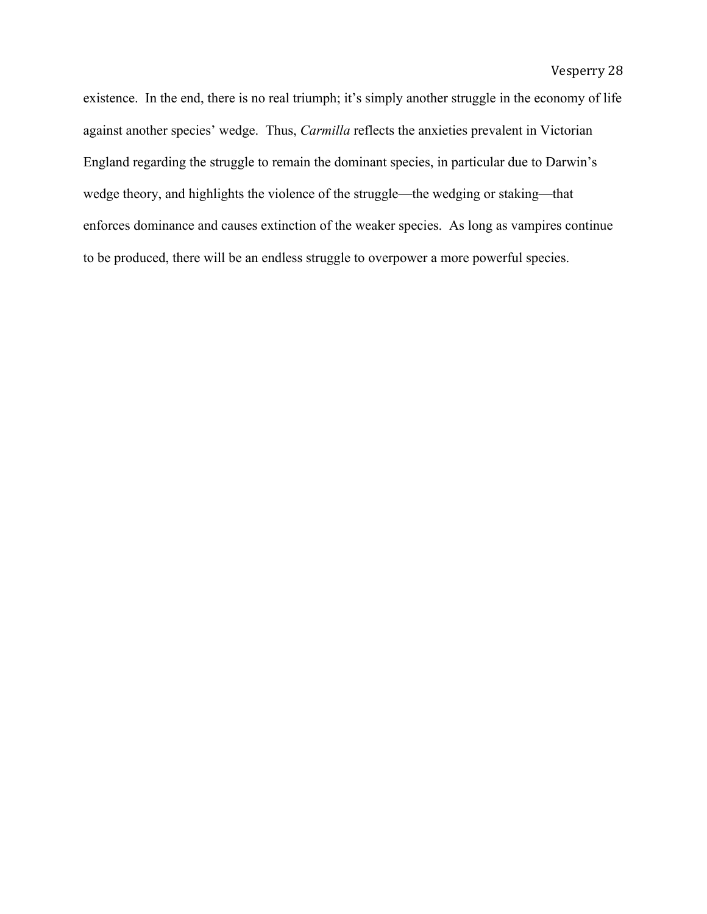existence. In the end, there is no real triumph; it's simply another struggle in the economy of life against another species' wedge. Thus, *Carmilla* reflects the anxieties prevalent in Victorian England regarding the struggle to remain the dominant species, in particular due to Darwin's wedge theory, and highlights the violence of the struggle—the wedging or staking—that enforces dominance and causes extinction of the weaker species. As long as vampires continue to be produced, there will be an endless struggle to overpower a more powerful species.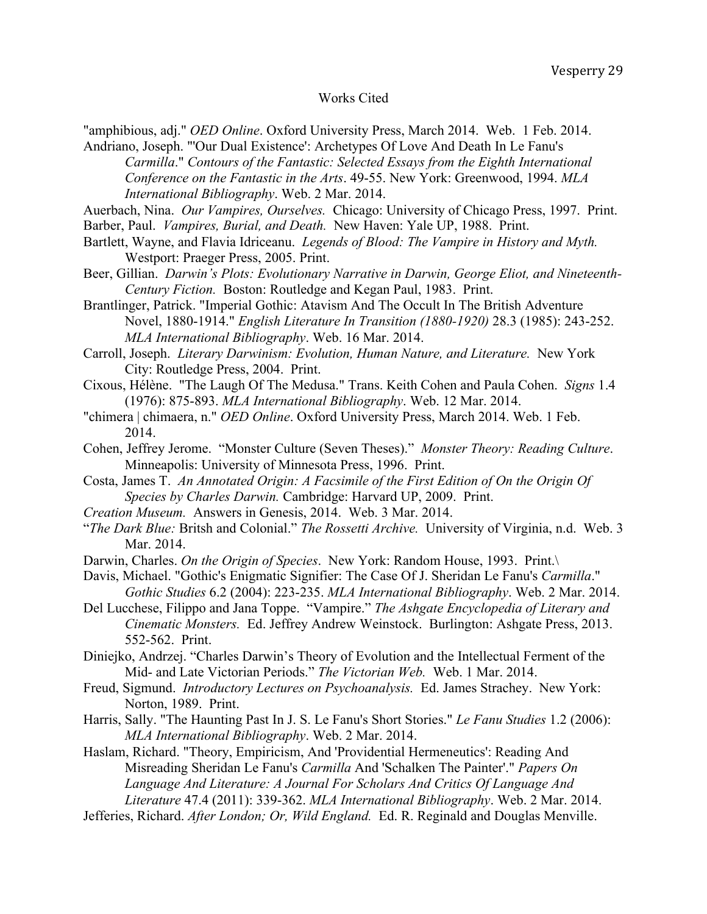#### Works Cited

"amphibious, adj." *OED Online*. Oxford University Press, March 2014. Web. 1 Feb. 2014. Andriano, Joseph. "'Our Dual Existence': Archetypes Of Love And Death In Le Fanu's

*Carmilla*." *Contours of the Fantastic: Selected Essays from the Eighth International Conference on the Fantastic in the Arts*. 49-55. New York: Greenwood, 1994. *MLA International Bibliography*. Web. 2 Mar. 2014.

Auerbach, Nina. *Our Vampires, Ourselves.* Chicago: University of Chicago Press, 1997. Print.

- Barber, Paul. *Vampires, Burial, and Death.* New Haven: Yale UP, 1988. Print.
- Bartlett, Wayne, and Flavia Idriceanu. *Legends of Blood: The Vampire in History and Myth.* Westport: Praeger Press, 2005. Print.
- Beer, Gillian. *Darwin's Plots: Evolutionary Narrative in Darwin, George Eliot, and Nineteenth-Century Fiction.* Boston: Routledge and Kegan Paul, 1983. Print.
- Brantlinger, Patrick. "Imperial Gothic: Atavism And The Occult In The British Adventure Novel, 1880-1914." *English Literature In Transition (1880-1920)* 28.3 (1985): 243-252. *MLA International Bibliography*. Web. 16 Mar. 2014.
- Carroll, Joseph. *Literary Darwinism: Evolution, Human Nature, and Literature.* New York City: Routledge Press, 2004. Print.
- Cixous, Hélène. "The Laugh Of The Medusa." Trans. Keith Cohen and Paula Cohen. *Signs* 1.4 (1976): 875-893. *MLA International Bibliography*. Web. 12 Mar. 2014.
- "chimera | chimaera, n." *OED Online*. Oxford University Press, March 2014. Web. 1 Feb. 2014.
- Cohen, Jeffrey Jerome. "Monster Culture (Seven Theses)." *Monster Theory: Reading Culture*. Minneapolis: University of Minnesota Press, 1996. Print.
- Costa, James T. *An Annotated Origin: A Facsimile of the First Edition of On the Origin Of Species by Charles Darwin.* Cambridge: Harvard UP, 2009. Print.
- *Creation Museum.* Answers in Genesis, 2014. Web. 3 Mar. 2014.
- "*The Dark Blue:* Britsh and Colonial." *The Rossetti Archive.* University of Virginia, n.d. Web. 3 Mar. 2014.
- Darwin, Charles. *On the Origin of Species*. New York: Random House, 1993. Print.\
- Davis, Michael. "Gothic's Enigmatic Signifier: The Case Of J. Sheridan Le Fanu's *Carmilla*." *Gothic Studies* 6.2 (2004): 223-235. *MLA International Bibliography*. Web. 2 Mar. 2014.
- Del Lucchese, Filippo and Jana Toppe. "Vampire." *The Ashgate Encyclopedia of Literary and Cinematic Monsters.* Ed. Jeffrey Andrew Weinstock. Burlington: Ashgate Press, 2013. 552-562. Print.
- Diniejko, Andrzej. "Charles Darwin's Theory of Evolution and the Intellectual Ferment of the Mid- and Late Victorian Periods." *The Victorian Web.* Web. 1 Mar. 2014.
- Freud, Sigmund. *Introductory Lectures on Psychoanalysis.* Ed. James Strachey. New York: Norton, 1989. Print.
- Harris, Sally. "The Haunting Past In J. S. Le Fanu's Short Stories." *Le Fanu Studies* 1.2 (2006): *MLA International Bibliography*. Web. 2 Mar. 2014.
- Haslam, Richard. "Theory, Empiricism, And 'Providential Hermeneutics': Reading And Misreading Sheridan Le Fanu's *Carmilla* And 'Schalken The Painter'." *Papers On Language And Literature: A Journal For Scholars And Critics Of Language And Literature* 47.4 (2011): 339-362. *MLA International Bibliography*. Web. 2 Mar. 2014.
- Jefferies, Richard. *After London; Or, Wild England.* Ed. R. Reginald and Douglas Menville.